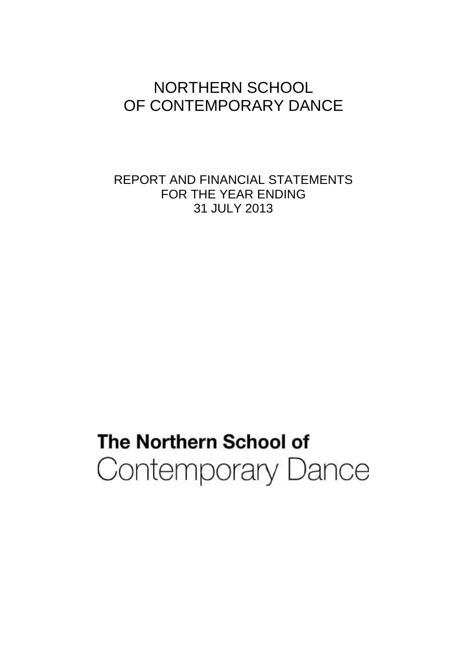## NORTHERN SCHOOL OF CONTEMPORARY DANCE

REPORT AND FINANCIAL STATEMENTS FOR THE YEAR ENDING 31 JULY 2013

# The Northern School of Contemporary Dance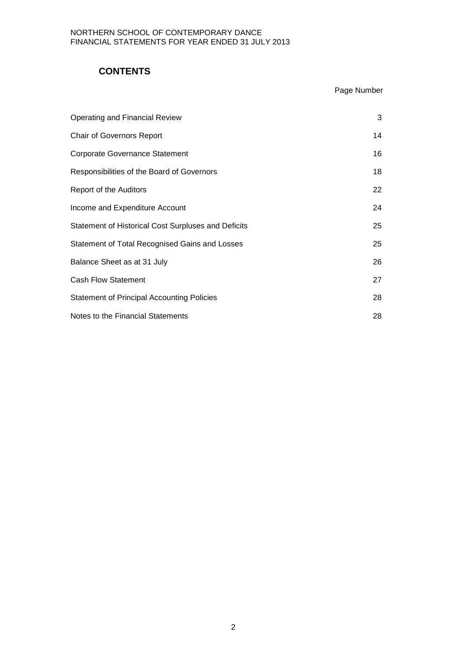## **CONTENTS**

## Page Number

| Operating and Financial Review                      | 3  |
|-----------------------------------------------------|----|
| <b>Chair of Governors Report</b>                    | 14 |
| <b>Corporate Governance Statement</b>               | 16 |
| Responsibilities of the Board of Governors          | 18 |
| Report of the Auditors                              | 22 |
| Income and Expenditure Account                      | 24 |
| Statement of Historical Cost Surpluses and Deficits | 25 |
| Statement of Total Recognised Gains and Losses      | 25 |
| Balance Sheet as at 31 July                         | 26 |
| <b>Cash Flow Statement</b>                          | 27 |
| <b>Statement of Principal Accounting Policies</b>   | 28 |
| Notes to the Financial Statements                   | 28 |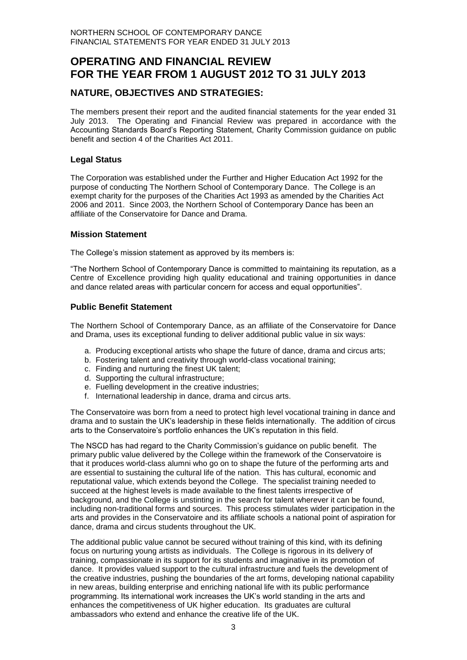## **OPERATING AND FINANCIAL REVIEW FOR THE YEAR FROM 1 AUGUST 2012 TO 31 JULY 2013**

## **NATURE, OBJECTIVES AND STRATEGIES:**

The members present their report and the audited financial statements for the year ended 31 July 2013. The Operating and Financial Review was prepared in accordance with the Accounting Standards Board's Reporting Statement, Charity Commission guidance on public benefit and section 4 of the Charities Act 2011.

## **Legal Status**

The Corporation was established under the Further and Higher Education Act 1992 for the purpose of conducting The Northern School of Contemporary Dance. The College is an exempt charity for the purposes of the Charities Act 1993 as amended by the Charities Act 2006 and 2011. Since 2003, the Northern School of Contemporary Dance has been an affiliate of the Conservatoire for Dance and Drama.

#### **Mission Statement**

The College's mission statement as approved by its members is:

"The Northern School of Contemporary Dance is committed to maintaining its reputation, as a Centre of Excellence providing high quality educational and training opportunities in dance and dance related areas with particular concern for access and equal opportunities".

#### **Public Benefit Statement**

The Northern School of Contemporary Dance, as an affiliate of the Conservatoire for Dance and Drama, uses its exceptional funding to deliver additional public value in six ways:

- a. Producing exceptional artists who shape the future of dance, drama and circus arts;
- b. Fostering talent and creativity through world-class vocational training;
- c. Finding and nurturing the finest UK talent;
- d. Supporting the cultural infrastructure;
- e. Fuelling development in the creative industries;
- f. International leadership in dance, drama and circus arts.

The Conservatoire was born from a need to protect high level vocational training in dance and drama and to sustain the UK's leadership in these fields internationally. The addition of circus arts to the Conservatoire's portfolio enhances the UK's reputation in this field.

The NSCD has had regard to the Charity Commission's guidance on public benefit. The primary public value delivered by the College within the framework of the Conservatoire is that it produces world-class alumni who go on to shape the future of the performing arts and are essential to sustaining the cultural life of the nation. This has cultural, economic and reputational value, which extends beyond the College. The specialist training needed to succeed at the highest levels is made available to the finest talents irrespective of background, and the College is unstinting in the search for talent wherever it can be found, including non-traditional forms and sources. This process stimulates wider participation in the arts and provides in the Conservatoire and its affiliate schools a national point of aspiration for dance, drama and circus students throughout the UK.

The additional public value cannot be secured without training of this kind, with its defining focus on nurturing young artists as individuals. The College is rigorous in its delivery of training, compassionate in its support for its students and imaginative in its promotion of dance. It provides valued support to the cultural infrastructure and fuels the development of the creative industries, pushing the boundaries of the art forms, developing national capability in new areas, building enterprise and enriching national life with its public performance programming. Its international work increases the UK's world standing in the arts and enhances the competitiveness of UK higher education. Its graduates are cultural ambassadors who extend and enhance the creative life of the UK.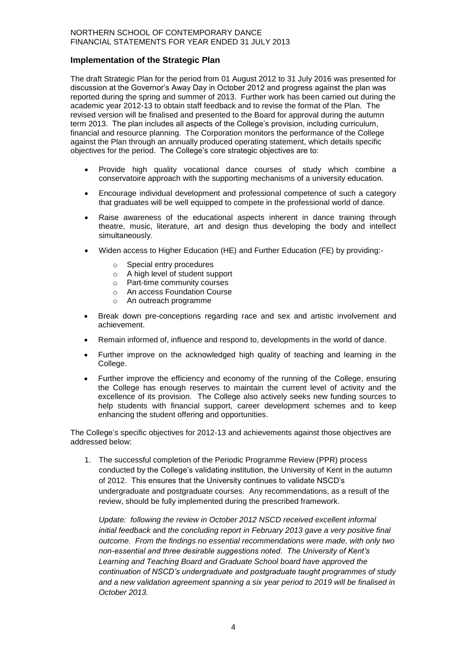#### **Implementation of the Strategic Plan**

The draft Strategic Plan for the period from 01 August 2012 to 31 July 2016 was presented for discussion at the Governor's Away Day in October 2012 and progress against the plan was reported during the spring and summer of 2013. Further work has been carried out during the academic year 2012-13 to obtain staff feedback and to revise the format of the Plan. The revised version will be finalised and presented to the Board for approval during the autumn term 2013. The plan includes all aspects of the College's provision, including curriculum, financial and resource planning. The Corporation monitors the performance of the College against the Plan through an annually produced operating statement, which details specific objectives for the period. The College's core strategic objectives are to:

- Provide high quality vocational dance courses of study which combine a conservatoire approach with the supporting mechanisms of a university education.
- Encourage individual development and professional competence of such a category that graduates will be well equipped to compete in the professional world of dance.
- Raise awareness of the educational aspects inherent in dance training through theatre, music, literature, art and design thus developing the body and intellect simultaneously.
- Widen access to Higher Education (HE) and Further Education (FE) by providing:
	- o Special entry procedures
	- o A high level of student support
	- o Part-time community courses
	- o An access Foundation Course
	- o An outreach programme
- Break down pre-conceptions regarding race and sex and artistic involvement and achievement.
- Remain informed of, influence and respond to, developments in the world of dance.
- Further improve on the acknowledged high quality of teaching and learning in the College.
- Further improve the efficiency and economy of the running of the College, ensuring the College has enough reserves to maintain the current level of activity and the excellence of its provision. The College also actively seeks new funding sources to help students with financial support, career development schemes and to keep enhancing the student offering and opportunities.

The College's specific objectives for 2012-13 and achievements against those objectives are addressed below:

1. The successful completion of the Periodic Programme Review (PPR) process conducted by the College's validating institution, the University of Kent in the autumn of 2012. This ensures that the University continues to validate NSCD's undergraduate and postgraduate courses. Any recommendations, as a result of the review, should be fully implemented during the prescribed framework.

*Update: following the review in October 2012 NSCD received excellent informal initial feedback* and *the concluding report in February 2013 gave a very positive final outcome. From the findings no essential recommendations were made, with only two non-essential and three desirable suggestions noted. The University of Kent's Learning and Teaching Board and Graduate School board have approved the continuation of NSCD's undergraduate and postgraduate taught programmes of study and a new validation agreement spanning a six year period to 2019 will be finalised in October 2013.*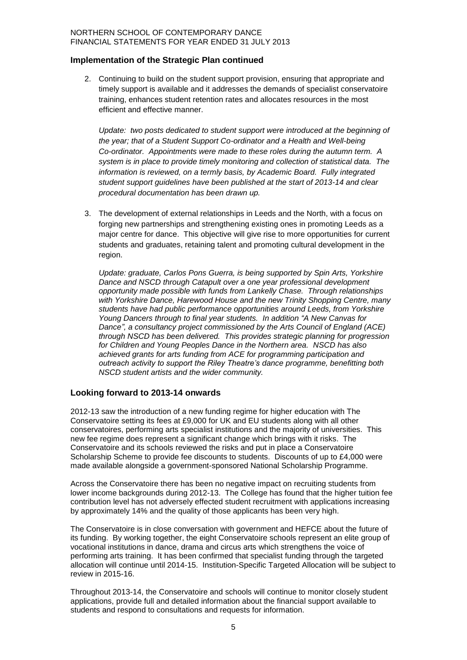#### **Implementation of the Strategic Plan continued**

2. Continuing to build on the student support provision, ensuring that appropriate and timely support is available and it addresses the demands of specialist conservatoire training, enhances student retention rates and allocates resources in the most efficient and effective manner.

Update: two posts dedicated to student support were introduced at the beginning of *the year; that of a Student Support Co-ordinator and a Health and Well-being Co-ordinator. Appointments were made to these roles during the autumn term. A system is in place to provide timely monitoring and collection of statistical data. The information is reviewed, on a termly basis, by Academic Board. Fully integrated student support guidelines have been published at the start of 2013-14 and clear procedural documentation has been drawn up.*

3. The development of external relationships in Leeds and the North, with a focus on forging new partnerships and strengthening existing ones in promoting Leeds as a major centre for dance. This objective will give rise to more opportunities for current students and graduates, retaining talent and promoting cultural development in the region.

*Update: graduate, Carlos Pons Guerra, is being supported by Spin Arts, Yorkshire Dance and NSCD through Catapult over a one year professional development opportunity made possible with funds from Lankelly Chase. Through relationships with Yorkshire Dance, Harewood House and the new Trinity Shopping Centre, many students have had public performance opportunities around Leeds, from Yorkshire Young Dancers through to final year students. In addition "A New Canvas for Dance", a consultancy project commissioned by the Arts Council of England (ACE) through NSCD has been delivered. This provides strategic planning for progression for Children and Young Peoples Dance in the Northern area. NSCD has also achieved grants for arts funding from ACE for programming participation and outreach activity to support the Riley Theatre's dance programme, benefitting both NSCD student artists and the wider community.* 

## **Looking forward to 2013-14 onwards**

2012-13 saw the introduction of a new funding regime for higher education with The Conservatoire setting its fees at £9,000 for UK and EU students along with all other conservatoires, performing arts specialist institutions and the majority of universities. This new fee regime does represent a significant change which brings with it risks. The Conservatoire and its schools reviewed the risks and put in place a Conservatoire Scholarship Scheme to provide fee discounts to students. Discounts of up to £4,000 were made available alongside a government-sponsored National Scholarship Programme.

Across the Conservatoire there has been no negative impact on recruiting students from lower income backgrounds during 2012-13. The College has found that the higher tuition fee contribution level has not adversely effected student recruitment with applications increasing by approximately 14% and the quality of those applicants has been very high.

The Conservatoire is in close conversation with government and HEFCE about the future of its funding. By working together, the eight Conservatoire schools represent an elite group of vocational institutions in dance, drama and circus arts which strengthens the voice of performing arts training. It has been confirmed that specialist funding through the targeted allocation will continue until 2014-15. Institution-Specific Targeted Allocation will be subject to review in 2015-16.

Throughout 2013-14, the Conservatoire and schools will continue to monitor closely student applications, provide full and detailed information about the financial support available to students and respond to consultations and requests for information.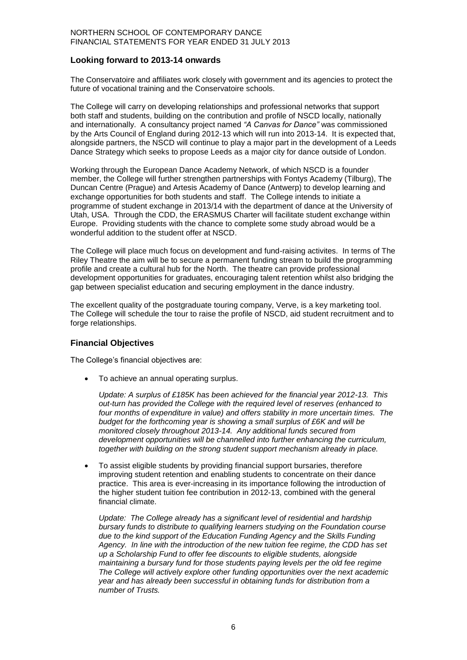#### **Looking forward to 2013-14 onwards**

The Conservatoire and affiliates work closely with government and its agencies to protect the future of vocational training and the Conservatoire schools.

The College will carry on developing relationships and professional networks that support both staff and students, building on the contribution and profile of NSCD locally, nationally and internationally. A consultancy project named *"A Canvas for Dance"* was commissioned by the Arts Council of England during 2012-13 which will run into 2013-14. It is expected that, alongside partners, the NSCD will continue to play a major part in the development of a Leeds Dance Strategy which seeks to propose Leeds as a major city for dance outside of London.

Working through the European Dance Academy Network, of which NSCD is a founder member, the College will further strengthen partnerships with Fontys Academy (Tilburg), The Duncan Centre (Prague) and Artesis Academy of Dance (Antwerp) to develop learning and exchange opportunities for both students and staff. The College intends to initiate a programme of student exchange in 2013/14 with the department of dance at the University of Utah, USA. Through the CDD, the ERASMUS Charter will facilitate student exchange within Europe. Providing students with the chance to complete some study abroad would be a wonderful addition to the student offer at NSCD.

The College will place much focus on development and fund-raising activites. In terms of The Riley Theatre the aim will be to secure a permanent funding stream to build the programming profile and create a cultural hub for the North. The theatre can provide professional development opportunities for graduates, encouraging talent retention whilst also bridging the gap between specialist education and securing employment in the dance industry.

The excellent quality of the postgraduate touring company, Verve, is a key marketing tool. The College will schedule the tour to raise the profile of NSCD, aid student recruitment and to forge relationships.

## **Financial Objectives**

The College's financial objectives are:

To achieve an annual operating surplus.

*Update: A surplus of £185K has been achieved for the financial year 2012-13. This out-turn has provided the College with the required level of reserves (enhanced to four months of expenditure in value) and offers stability in more uncertain times. The budget for the forthcoming year is showing a small surplus of £6K and will be monitored closely throughout 2013-14. Any additional funds secured from development opportunities will be channelled into further enhancing the curriculum, together with building on the strong student support mechanism already in place.*

 To assist eligible students by providing financial support bursaries, therefore improving student retention and enabling students to concentrate on their dance practice. This area is ever-increasing in its importance following the introduction of the higher student tuition fee contribution in 2012-13, combined with the general financial climate.

*Update: The College already has a significant level of residential and hardship bursary funds to distribute to qualifying learners studying on the Foundation course due to the kind support of the Education Funding Agency and the Skills Funding Agency. In line with the introduction of the new tuition fee regime, the CDD has set up a Scholarship Fund to offer fee discounts to eligible students, alongside maintaining a bursary fund for those students paying levels per the old fee regime The College will actively explore other funding opportunities over the next academic year and has already been successful in obtaining funds for distribution from a number of Trusts.*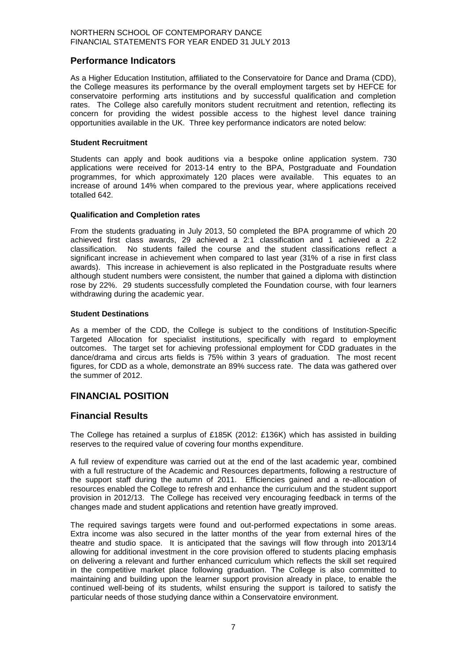## **Performance Indicators**

As a Higher Education Institution, affiliated to the Conservatoire for Dance and Drama (CDD), the College measures its performance by the overall employment targets set by HEFCE for conservatoire performing arts institutions and by successful qualification and completion rates. The College also carefully monitors student recruitment and retention, reflecting its concern for providing the widest possible access to the highest level dance training opportunities available in the UK. Three key performance indicators are noted below:

#### **Student Recruitment**

Students can apply and book auditions via a bespoke online application system. 730 applications were received for 2013-14 entry to the BPA, Postgraduate and Foundation programmes, for which approximately 120 places were available. This equates to an increase of around 14% when compared to the previous year, where applications received totalled 642.

#### **Qualification and Completion rates**

From the students graduating in July 2013, 50 completed the BPA programme of which 20 achieved first class awards, 29 achieved a 2:1 classification and 1 achieved a 2:2 classification. No students failed the course and the student classifications reflect a significant increase in achievement when compared to last year (31% of a rise in first class awards). This increase in achievement is also replicated in the Postgraduate results where although student numbers were consistent, the number that gained a diploma with distinction rose by 22%. 29 students successfully completed the Foundation course, with four learners withdrawing during the academic year.

#### **Student Destinations**

As a member of the CDD, the College is subject to the conditions of Institution-Specific Targeted Allocation for specialist institutions, specifically with regard to employment outcomes. The target set for achieving professional employment for CDD graduates in the dance/drama and circus arts fields is 75% within 3 years of graduation. The most recent figures, for CDD as a whole, demonstrate an 89% success rate. The data was gathered over the summer of 2012.

## **FINANCIAL POSITION**

## **Financial Results**

The College has retained a surplus of £185K (2012: £136K) which has assisted in building reserves to the required value of covering four months expenditure.

A full review of expenditure was carried out at the end of the last academic year, combined with a full restructure of the Academic and Resources departments, following a restructure of the support staff during the autumn of 2011. Efficiencies gained and a re-allocation of resources enabled the College to refresh and enhance the curriculum and the student support provision in 2012/13. The College has received very encouraging feedback in terms of the changes made and student applications and retention have greatly improved.

The required savings targets were found and out-performed expectations in some areas. Extra income was also secured in the latter months of the year from external hires of the theatre and studio space. It is anticipated that the savings will flow through into 2013/14 allowing for additional investment in the core provision offered to students placing emphasis on delivering a relevant and further enhanced curriculum which reflects the skill set required in the competitive market place following graduation. The College is also committed to maintaining and building upon the learner support provision already in place, to enable the continued well-being of its students, whilst ensuring the support is tailored to satisfy the particular needs of those studying dance within a Conservatoire environment.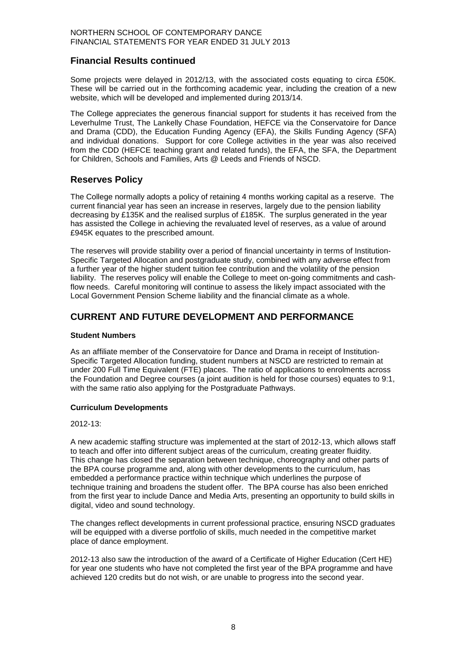## **Financial Results continued**

Some projects were delayed in 2012/13, with the associated costs equating to circa £50K. These will be carried out in the forthcoming academic year, including the creation of a new website, which will be developed and implemented during 2013/14.

The College appreciates the generous financial support for students it has received from the Leverhulme Trust, The Lankelly Chase Foundation, HEFCE via the Conservatoire for Dance and Drama (CDD), the Education Funding Agency (EFA), the Skills Funding Agency (SFA) and individual donations. Support for core College activities in the year was also received from the CDD (HEFCE teaching grant and related funds), the EFA, the SFA, the Department for Children, Schools and Families, Arts @ Leeds and Friends of NSCD.

## **Reserves Policy**

The College normally adopts a policy of retaining 4 months working capital as a reserve. The current financial year has seen an increase in reserves, largely due to the pension liability decreasing by £135K and the realised surplus of £185K. The surplus generated in the year has assisted the College in achieving the revaluated level of reserves, as a value of around £945K equates to the prescribed amount.

The reserves will provide stability over a period of financial uncertainty in terms of Institution-Specific Targeted Allocation and postgraduate study, combined with any adverse effect from a further year of the higher student tuition fee contribution and the volatility of the pension liability. The reserves policy will enable the College to meet on-going commitments and cashflow needs. Careful monitoring will continue to assess the likely impact associated with the Local Government Pension Scheme liability and the financial climate as a whole.

## **CURRENT AND FUTURE DEVELOPMENT AND PERFORMANCE**

#### **Student Numbers**

As an affiliate member of the Conservatoire for Dance and Drama in receipt of Institution-Specific Targeted Allocation funding, student numbers at NSCD are restricted to remain at under 200 Full Time Equivalent (FTE) places. The ratio of applications to enrolments across the Foundation and Degree courses (a joint audition is held for those courses) equates to 9:1, with the same ratio also applying for the Postgraduate Pathways.

## **Curriculum Developments**

#### 2012-13:

A new academic staffing structure was implemented at the start of 2012-13, which allows staff to teach and offer into different subject areas of the curriculum, creating greater fluidity. This change has closed the separation between technique, choreography and other parts of the BPA course programme and, along with other developments to the curriculum, has embedded a performance practice within technique which underlines the purpose of technique training and broadens the student offer. The BPA course has also been enriched from the first year to include Dance and Media Arts, presenting an opportunity to build skills in digital, video and sound technology.

The changes reflect developments in current professional practice, ensuring NSCD graduates will be equipped with a diverse portfolio of skills, much needed in the competitive market place of dance employment.

2012-13 also saw the introduction of the award of a Certificate of Higher Education (Cert HE) for year one students who have not completed the first year of the BPA programme and have achieved 120 credits but do not wish, or are unable to progress into the second year.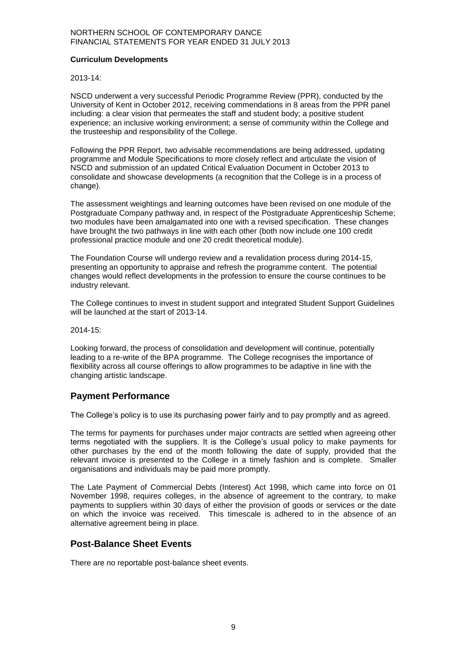#### **Curriculum Developments**

#### 2013-14:

NSCD underwent a very successful Periodic Programme Review (PPR), conducted by the University of Kent in October 2012, receiving commendations in 8 areas from the PPR panel including: a clear vision that permeates the staff and student body; a positive student experience; an inclusive working environment; a sense of community within the College and the trusteeship and responsibility of the College.

Following the PPR Report, two advisable recommendations are being addressed, updating programme and Module Specifications to more closely reflect and articulate the vision of NSCD and submission of an updated Critical Evaluation Document in October 2013 to consolidate and showcase developments (a recognition that the College is in a process of change).

The assessment weightings and learning outcomes have been revised on one module of the Postgraduate Company pathway and, in respect of the Postgraduate Apprenticeship Scheme; two modules have been amalgamated into one with a revised specification. These changes have brought the two pathways in line with each other (both now include one 100 credit professional practice module and one 20 credit theoretical module).

The Foundation Course will undergo review and a revalidation process during 2014-15, presenting an opportunity to appraise and refresh the programme content. The potential changes would reflect developments in the profession to ensure the course continues to be industry relevant.

The College continues to invest in student support and integrated Student Support Guidelines will be launched at the start of 2013-14.

2014-15:

Looking forward, the process of consolidation and development will continue, potentially leading to a re-write of the BPA programme. The College recognises the importance of flexibility across all course offerings to allow programmes to be adaptive in line with the changing artistic landscape.

## **Payment Performance**

The College's policy is to use its purchasing power fairly and to pay promptly and as agreed.

The terms for payments for purchases under major contracts are settled when agreeing other terms negotiated with the suppliers. It is the College's usual policy to make payments for other purchases by the end of the month following the date of supply, provided that the relevant invoice is presented to the College in a timely fashion and is complete. Smaller organisations and individuals may be paid more promptly.

The Late Payment of Commercial Debts (Interest) Act 1998, which came into force on 01 November 1998, requires colleges, in the absence of agreement to the contrary, to make payments to suppliers within 30 days of either the provision of goods or services or the date on which the invoice was received. This timescale is adhered to in the absence of an alternative agreement being in place.

## **Post-Balance Sheet Events**

There are no reportable post-balance sheet events.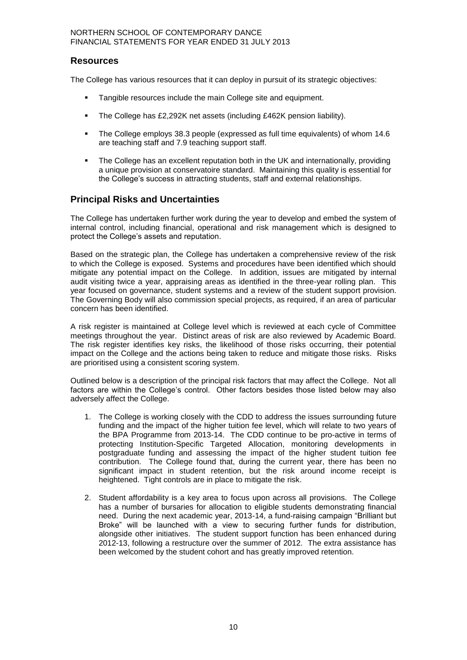## **Resources**

The College has various resources that it can deploy in pursuit of its strategic objectives:

- Tangible resources include the main College site and equipment.
- The College has £2,292K net assets (including £462K pension liability).
- The College employs 38.3 people (expressed as full time equivalents) of whom 14.6 are teaching staff and 7.9 teaching support staff.
- The College has an excellent reputation both in the UK and internationally, providing a unique provision at conservatoire standard. Maintaining this quality is essential for the College's success in attracting students, staff and external relationships.

## **Principal Risks and Uncertainties**

The College has undertaken further work during the year to develop and embed the system of internal control, including financial, operational and risk management which is designed to protect the College's assets and reputation.

Based on the strategic plan, the College has undertaken a comprehensive review of the risk to which the College is exposed. Systems and procedures have been identified which should mitigate any potential impact on the College. In addition, issues are mitigated by internal audit visiting twice a year, appraising areas as identified in the three-year rolling plan. This year focused on governance, student systems and a review of the student support provision. The Governing Body will also commission special projects, as required, if an area of particular concern has been identified.

A risk register is maintained at College level which is reviewed at each cycle of Committee meetings throughout the year. Distinct areas of risk are also reviewed by Academic Board. The risk register identifies key risks, the likelihood of those risks occurring, their potential impact on the College and the actions being taken to reduce and mitigate those risks. Risks are prioritised using a consistent scoring system.

Outlined below is a description of the principal risk factors that may affect the College. Not all factors are within the College's control. Other factors besides those listed below may also adversely affect the College.

- 1. The College is working closely with the CDD to address the issues surrounding future funding and the impact of the higher tuition fee level, which will relate to two years of the BPA Programme from 2013-14. The CDD continue to be pro-active in terms of protecting Institution-Specific Targeted Allocation, monitoring developments in postgraduate funding and assessing the impact of the higher student tuition fee contribution. The College found that, during the current year, there has been no significant impact in student retention, but the risk around income receipt is heightened. Tight controls are in place to mitigate the risk.
- 2. Student affordability is a key area to focus upon across all provisions. The College has a number of bursaries for allocation to eligible students demonstrating financial need. During the next academic year, 2013-14, a fund-raising campaign "Brilliant but Broke" will be launched with a view to securing further funds for distribution, alongside other initiatives. The student support function has been enhanced during 2012-13, following a restructure over the summer of 2012. The extra assistance has been welcomed by the student cohort and has greatly improved retention.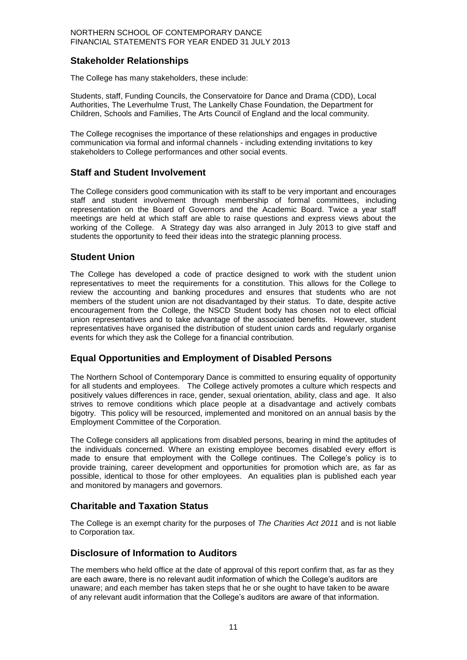## **Stakeholder Relationships**

The College has many stakeholders, these include:

Students, staff, Funding Councils, the Conservatoire for Dance and Drama (CDD), Local Authorities, The Leverhulme Trust, The Lankelly Chase Foundation, the Department for Children, Schools and Families, The Arts Council of England and the local community.

The College recognises the importance of these relationships and engages in productive communication via formal and informal channels - including extending invitations to key stakeholders to College performances and other social events.

## **Staff and Student Involvement**

The College considers good communication with its staff to be very important and encourages staff and student involvement through membership of formal committees, including representation on the Board of Governors and the Academic Board. Twice a year staff meetings are held at which staff are able to raise questions and express views about the working of the College. A Strategy day was also arranged in July 2013 to give staff and students the opportunity to feed their ideas into the strategic planning process.

## **Student Union**

The College has developed a code of practice designed to work with the student union representatives to meet the requirements for a constitution. This allows for the College to review the accounting and banking procedures and ensures that students who are not members of the student union are not disadvantaged by their status. To date, despite active encouragement from the College, the NSCD Student body has chosen not to elect official union representatives and to take advantage of the associated benefits. However, student representatives have organised the distribution of student union cards and regularly organise events for which they ask the College for a financial contribution.

## **Equal Opportunities and Employment of Disabled Persons**

The Northern School of Contemporary Dance is committed to ensuring equality of opportunity for all students and employees. The College actively promotes a culture which respects and positively values differences in race, gender, sexual orientation, ability, class and age. It also strives to remove conditions which place people at a disadvantage and actively combats bigotry. This policy will be resourced, implemented and monitored on an annual basis by the Employment Committee of the Corporation.

The College considers all applications from disabled persons, bearing in mind the aptitudes of the individuals concerned. Where an existing employee becomes disabled every effort is made to ensure that employment with the College continues. The College's policy is to provide training, career development and opportunities for promotion which are, as far as possible, identical to those for other employees. An equalities plan is published each year and monitored by managers and governors.

## **Charitable and Taxation Status**

The College is an exempt charity for the purposes of *The Charities Act 2011* and is not liable to Corporation tax.

## **Disclosure of Information to Auditors**

The members who held office at the date of approval of this report confirm that, as far as they are each aware, there is no relevant audit information of which the College's auditors are unaware; and each member has taken steps that he or she ought to have taken to be aware of any relevant audit information that the College's auditors are aware of that information.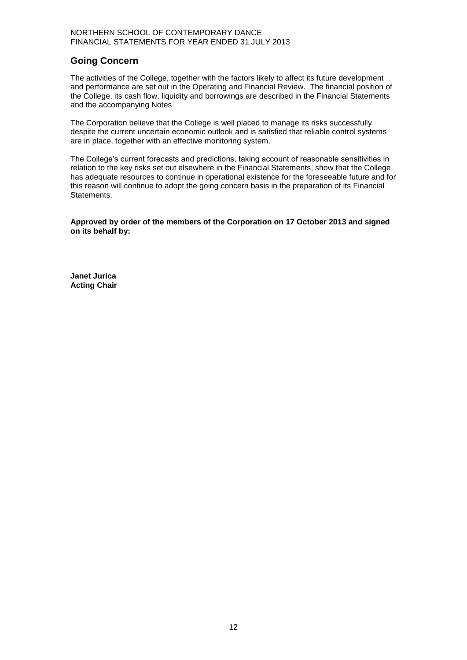## **Going Concern**

The activities of the College, together with the factors likely to affect its future development and performance are set out in the Operating and Financial Review. The financial position of the College, its cash flow, liquidity and borrowings are described in the Financial Statements and the accompanying Notes.

The Corporation believe that the College is well placed to manage its risks successfully despite the current uncertain economic outlook and is satisfied that reliable control systems are in place, together with an effective monitoring system.

The College's current forecasts and predictions, taking account of reasonable sensitivities in relation to the key risks set out elsewhere in the Financial Statements, show that the College has adequate resources to continue in operational existence for the foreseeable future and for this reason will continue to adopt the going concern basis in the preparation of its Financial Statements.

**Approved by order of the members of the Corporation on 17 October 2013 and signed on its behalf by:**

**Janet Jurica Acting Chair**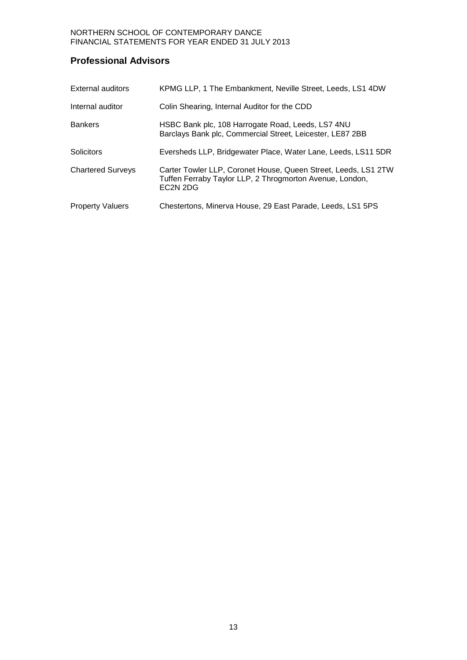## **Professional Advisors**

| External auditors        | KPMG LLP, 1 The Embankment, Neville Street, Leeds, LS1 4DW                                                                                                     |
|--------------------------|----------------------------------------------------------------------------------------------------------------------------------------------------------------|
| Internal auditor         | Colin Shearing, Internal Auditor for the CDD                                                                                                                   |
| <b>Bankers</b>           | HSBC Bank plc, 108 Harrogate Road, Leeds, LS7 4NU<br>Barclays Bank plc, Commercial Street, Leicester, LE87 2BB                                                 |
| Solicitors               | Eversheds LLP, Bridgewater Place, Water Lane, Leeds, LS11 5DR                                                                                                  |
| <b>Chartered Surveys</b> | Carter Towler LLP, Coronet House, Queen Street, Leeds, LS1 2TW<br>Tuffen Ferraby Taylor LLP, 2 Throgmorton Avenue, London,<br>EC <sub>2</sub> N <sub>2DG</sub> |
| <b>Property Valuers</b>  | Chestertons, Minerva House, 29 East Parade, Leeds, LS1 5PS                                                                                                     |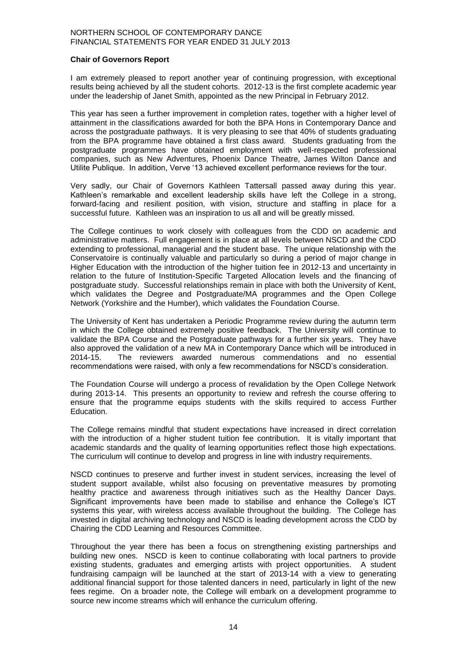#### **Chair of Governors Report**

I am extremely pleased to report another year of continuing progression, with exceptional results being achieved by all the student cohorts. 2012-13 is the first complete academic year under the leadership of Janet Smith, appointed as the new Principal in February 2012.

This year has seen a further improvement in completion rates, together with a higher level of attainment in the classifications awarded for both the BPA Hons in Contemporary Dance and across the postgraduate pathways. It is very pleasing to see that 40% of students graduating from the BPA programme have obtained a first class award. Students graduating from the postgraduate programmes have obtained employment with well-respected professional companies, such as New Adventures, Phoenix Dance Theatre, James Wilton Dance and Utilite Publique. In addition, Verve '13 achieved excellent performance reviews for the tour.

Very sadly, our Chair of Governors Kathleen Tattersall passed away during this year. Kathleen's remarkable and excellent leadership skills have left the College in a strong, forward-facing and resilient position, with vision, structure and staffing in place for a successful future. Kathleen was an inspiration to us all and will be greatly missed.

The College continues to work closely with colleagues from the CDD on academic and administrative matters. Full engagement is in place at all levels between NSCD and the CDD extending to professional, managerial and the student base. The unique relationship with the Conservatoire is continually valuable and particularly so during a period of major change in Higher Education with the introduction of the higher tuition fee in 2012-13 and uncertainty in relation to the future of Institution-Specific Targeted Allocation levels and the financing of postgraduate study. Successful relationships remain in place with both the University of Kent, which validates the Degree and Postgraduate/MA programmes and the Open College Network (Yorkshire and the Humber), which validates the Foundation Course.

The University of Kent has undertaken a Periodic Programme review during the autumn term in which the College obtained extremely positive feedback. The University will continue to validate the BPA Course and the Postgraduate pathways for a further six years. They have also approved the validation of a new MA in Contemporary Dance which will be introduced in 2014-15. The reviewers awarded numerous commendations and no essential recommendations were raised, with only a few recommendations for NSCD's consideration.

The Foundation Course will undergo a process of revalidation by the Open College Network during 2013-14. This presents an opportunity to review and refresh the course offering to ensure that the programme equips students with the skills required to access Further Education.

The College remains mindful that student expectations have increased in direct correlation with the introduction of a higher student tuition fee contribution. It is vitally important that academic standards and the quality of learning opportunities reflect those high expectations. The curriculum will continue to develop and progress in line with industry requirements.

NSCD continues to preserve and further invest in student services, increasing the level of student support available, whilst also focusing on preventative measures by promoting healthy practice and awareness through initiatives such as the Healthy Dancer Days. Significant improvements have been made to stabilise and enhance the College's ICT systems this year, with wireless access available throughout the building. The College has invested in digital archiving technology and NSCD is leading development across the CDD by Chairing the CDD Learning and Resources Committee.

Throughout the year there has been a focus on strengthening existing partnerships and building new ones. NSCD is keen to continue collaborating with local partners to provide existing students, graduates and emerging artists with project opportunities. A student fundraising campaign will be launched at the start of 2013-14 with a view to generating additional financial support for those talented dancers in need, particularly in light of the new fees regime. On a broader note, the College will embark on a development programme to source new income streams which will enhance the curriculum offering.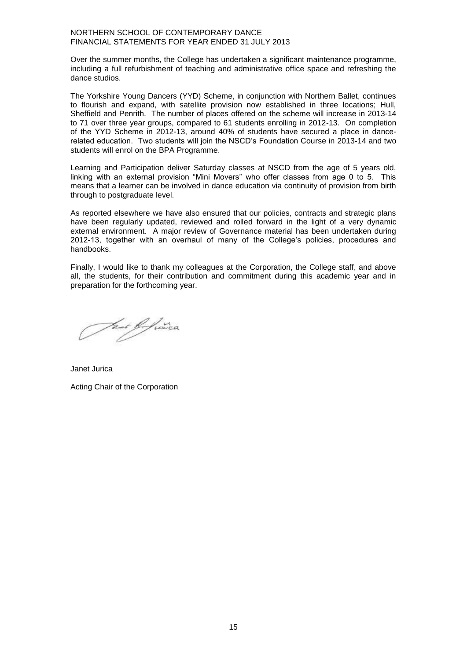Over the summer months, the College has undertaken a significant maintenance programme, including a full refurbishment of teaching and administrative office space and refreshing the dance studios.

The Yorkshire Young Dancers (YYD) Scheme, in conjunction with Northern Ballet, continues to flourish and expand, with satellite provision now established in three locations; Hull, Sheffield and Penrith. The number of places offered on the scheme will increase in 2013-14 to 71 over three year groups, compared to 61 students enrolling in 2012-13. On completion of the YYD Scheme in 2012-13, around 40% of students have secured a place in dancerelated education. Two students will join the NSCD's Foundation Course in 2013-14 and two students will enrol on the BPA Programme.

Learning and Participation deliver Saturday classes at NSCD from the age of 5 years old, linking with an external provision "Mini Movers" who offer classes from age 0 to 5. This means that a learner can be involved in dance education via continuity of provision from birth through to postgraduate level.

As reported elsewhere we have also ensured that our policies, contracts and strategic plans have been regularly updated, reviewed and rolled forward in the light of a very dynamic external environment. A major review of Governance material has been undertaken during 2012-13, together with an overhaul of many of the College's policies, procedures and handbooks.

Finally, I would like to thank my colleagues at the Corporation, the College staff, and above all, the students, for their contribution and commitment during this academic year and in preparation for the forthcoming year.

*Fast of fra*nce

Janet Jurica Acting Chair of the Corporation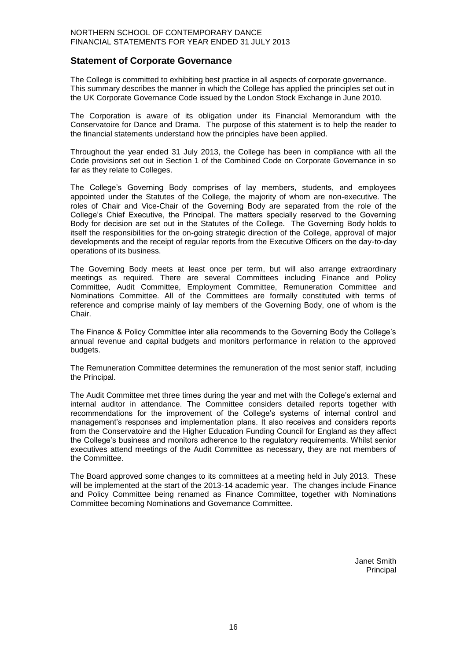## **Statement of Corporate Governance**

The College is committed to exhibiting best practice in all aspects of corporate governance. This summary describes the manner in which the College has applied the principles set out in the UK Corporate Governance Code issued by the London Stock Exchange in June 2010.

The Corporation is aware of its obligation under its Financial Memorandum with the Conservatoire for Dance and Drama. The purpose of this statement is to help the reader to the financial statements understand how the principles have been applied.

Throughout the year ended 31 July 2013, the College has been in compliance with all the Code provisions set out in Section 1 of the Combined Code on Corporate Governance in so far as they relate to Colleges.

The College's Governing Body comprises of lay members, students, and employees appointed under the Statutes of the College, the majority of whom are non-executive. The roles of Chair and Vice-Chair of the Governing Body are separated from the role of the College's Chief Executive, the Principal. The matters specially reserved to the Governing Body for decision are set out in the Statutes of the College. The Governing Body holds to itself the responsibilities for the on-going strategic direction of the College, approval of major developments and the receipt of regular reports from the Executive Officers on the day-to-day operations of its business.

The Governing Body meets at least once per term, but will also arrange extraordinary meetings as required. There are several Committees including Finance and Policy Committee, Audit Committee, Employment Committee, Remuneration Committee and Nominations Committee. All of the Committees are formally constituted with terms of reference and comprise mainly of lay members of the Governing Body, one of whom is the Chair.

The Finance & Policy Committee inter alia recommends to the Governing Body the College's annual revenue and capital budgets and monitors performance in relation to the approved budgets.

The Remuneration Committee determines the remuneration of the most senior staff, including the Principal.

The Audit Committee met three times during the year and met with the College's external and internal auditor in attendance. The Committee considers detailed reports together with recommendations for the improvement of the College's systems of internal control and management's responses and implementation plans. It also receives and considers reports from the Conservatoire and the Higher Education Funding Council for England as they affect the College's business and monitors adherence to the regulatory requirements. Whilst senior executives attend meetings of the Audit Committee as necessary, they are not members of the Committee.

The Board approved some changes to its committees at a meeting held in July 2013. These will be implemented at the start of the 2013-14 academic year. The changes include Finance and Policy Committee being renamed as Finance Committee, together with Nominations Committee becoming Nominations and Governance Committee.

> Janet Smith Principal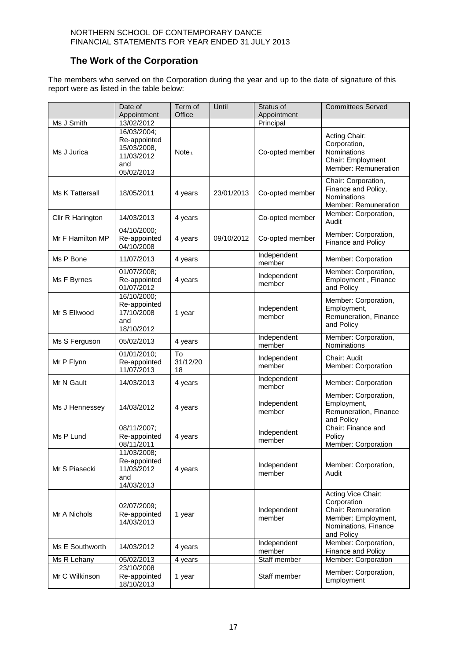## **The Work of the Corporation**

The members who served on the Corporation during the year and up to the date of signature of this report were as listed in the table below:

|                  | Date of                                                                       | Term of              | Until      | Status of             | <b>Committees Served</b>                                                                                              |
|------------------|-------------------------------------------------------------------------------|----------------------|------------|-----------------------|-----------------------------------------------------------------------------------------------------------------------|
|                  | Appointment                                                                   | Office               |            | Appointment           |                                                                                                                       |
| Ms J Smith       | 13/02/2012                                                                    |                      |            | Principal             |                                                                                                                       |
| Ms J Jurica      | 16/03/2004;<br>Re-appointed<br>15/03/2008,<br>11/03/2012<br>and<br>05/02/2013 | Note <sub>1</sub>    |            | Co-opted member       | Acting Chair:<br>Corporation,<br>Nominations<br>Chair: Employment<br>Member: Remuneration                             |
| Ms K Tattersall  | 18/05/2011                                                                    | 4 years              | 23/01/2013 | Co-opted member       | Chair: Corporation,<br>Finance and Policy,<br>Nominations<br>Member: Remuneration                                     |
| Cllr R Harington | 14/03/2013                                                                    | 4 years              |            | Co-opted member       | Member: Corporation,<br>Audit                                                                                         |
| Mr F Hamilton MP | 04/10/2000;<br>Re-appointed<br>04/10/2008                                     | 4 years              | 09/10/2012 | Co-opted member       | Member: Corporation,<br>Finance and Policy                                                                            |
| Ms P Bone        | 11/07/2013                                                                    | 4 years              |            | Independent<br>member | Member: Corporation                                                                                                   |
| Ms F Byrnes      | 01/07/2008;<br>Re-appointed<br>01/07/2012                                     | 4 years              |            | Independent<br>member | Member: Corporation,<br>Employment, Finance<br>and Policy                                                             |
| Mr S Ellwood     | 16/10/2000;<br>Re-appointed<br>17/10/2008<br>and<br>18/10/2012                | 1 year               |            | Independent<br>member | Member: Corporation,<br>Employment,<br>Remuneration, Finance<br>and Policy                                            |
| Ms S Ferguson    | 05/02/2013                                                                    | 4 years              |            | Independent<br>member | Member: Corporation,<br>Nominations                                                                                   |
| Mr P Flynn       | 01/01/2010;<br>Re-appointed<br>11/07/2013                                     | To<br>31/12/20<br>18 |            | Independent<br>member | Chair: Audit<br>Member: Corporation                                                                                   |
| Mr N Gault       | 14/03/2013                                                                    | 4 years              |            | Independent<br>member | Member: Corporation                                                                                                   |
| Ms J Hennessey   | 14/03/2012                                                                    | 4 years              |            | Independent<br>member | Member: Corporation,<br>Employment,<br>Remuneration, Finance<br>and Policy                                            |
| Ms P Lund        | 08/11/2007;<br>Re-appointed<br>08/11/2011                                     | 4 years              |            | Independent<br>member | Chair: Finance and<br>Policy<br>Member: Corporation                                                                   |
| Mr S Piasecki    | 11/03/2008;<br>Re-appointed<br>11/03/2012<br>and<br>14/03/2013                | 4 years              |            | Independent<br>member | Member: Corporation,<br>Audit                                                                                         |
| Mr A Nichols     | 02/07/2009;<br>Re-appointed<br>14/03/2013                                     | 1 year               |            | Independent<br>member | Acting Vice Chair:<br>Corporation<br>Chair: Remuneration<br>Member: Employment,<br>Nominations, Finance<br>and Policy |
| Ms E Southworth  | 14/03/2012                                                                    | 4 years              |            | Independent<br>member | Member: Corporation,<br>Finance and Policy                                                                            |
| Ms R Lehany      | 05/02/2013                                                                    | 4 years              |            | Staff member          | Member: Corporation                                                                                                   |
| Mr C Wilkinson   | 23/10/2008<br>Re-appointed<br>18/10/2013                                      | 1 year               |            | Staff member          | Member: Corporation,<br>Employment                                                                                    |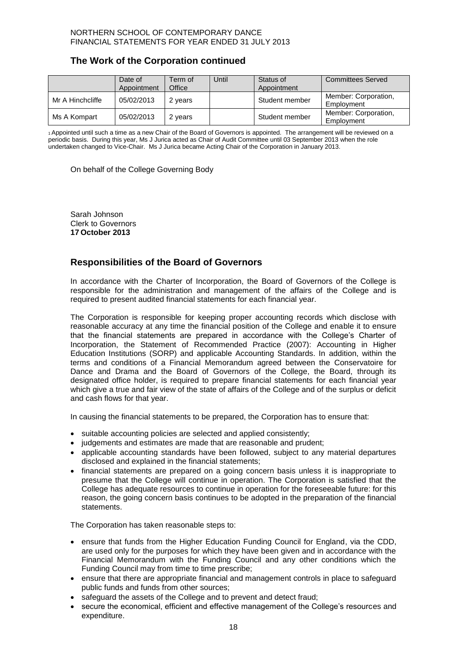## **The Work of the Corporation continued**

|                  | Date of<br>Appointment | Term of<br>Office | Until | Status of<br>Appointment | <b>Committees Served</b>           |
|------------------|------------------------|-------------------|-------|--------------------------|------------------------------------|
| Mr A Hinchcliffe | 05/02/2013             | 2 years           |       | Student member           | Member: Corporation,<br>Employment |
| Ms A Kompart     | 05/02/2013             | 2 years           |       | Student member           | Member: Corporation,<br>Employment |

<sup>1</sup>Appointed until such a time as a new Chair of the Board of Governors is appointed. The arrangement will be reviewed on a periodic basis. During this year, Ms J Jurica acted as Chair of Audit Committee until 03 September 2013 when the role undertaken changed to Vice-Chair. Ms J Jurica became Acting Chair of the Corporation in January 2013.

On behalf of the College Governing Body

Sarah Johnson Clerk to Governors **17 October 2013**

## **Responsibilities of the Board of Governors**

In accordance with the Charter of Incorporation, the Board of Governors of the College is responsible for the administration and management of the affairs of the College and is required to present audited financial statements for each financial year.

The Corporation is responsible for keeping proper accounting records which disclose with reasonable accuracy at any time the financial position of the College and enable it to ensure that the financial statements are prepared in accordance with the College's Charter of Incorporation, the Statement of Recommended Practice (2007): Accounting in Higher Education Institutions (SORP) and applicable Accounting Standards. In addition, within the terms and conditions of a Financial Memorandum agreed between the Conservatoire for Dance and Drama and the Board of Governors of the College, the Board, through its designated office holder, is required to prepare financial statements for each financial year which give a true and fair view of the state of affairs of the College and of the surplus or deficit and cash flows for that year.

In causing the financial statements to be prepared, the Corporation has to ensure that:

- suitable accounting policies are selected and applied consistently;
- judgements and estimates are made that are reasonable and prudent;
- applicable accounting standards have been followed, subject to any material departures disclosed and explained in the financial statements;
- financial statements are prepared on a going concern basis unless it is inappropriate to presume that the College will continue in operation. The Corporation is satisfied that the College has adequate resources to continue in operation for the foreseeable future: for this reason, the going concern basis continues to be adopted in the preparation of the financial statements.

The Corporation has taken reasonable steps to:

- ensure that funds from the Higher Education Funding Council for England, via the CDD, are used only for the purposes for which they have been given and in accordance with the Financial Memorandum with the Funding Council and any other conditions which the Funding Council may from time to time prescribe;
- ensure that there are appropriate financial and management controls in place to safeguard public funds and funds from other sources;
- safeguard the assets of the College and to prevent and detect fraud;
- secure the economical, efficient and effective management of the College's resources and expenditure.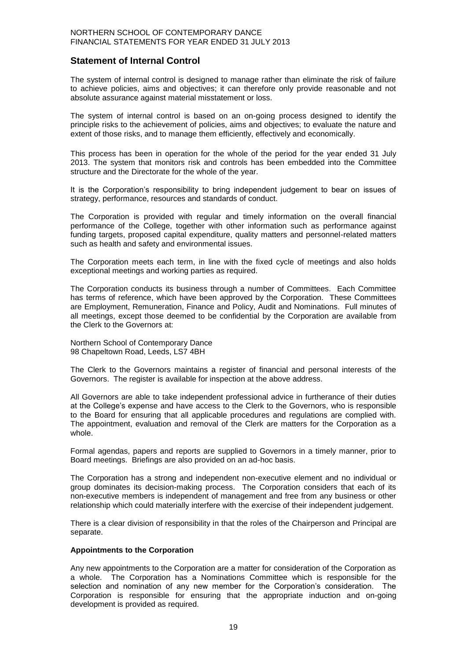## **Statement of Internal Control**

The system of internal control is designed to manage rather than eliminate the risk of failure to achieve policies, aims and objectives; it can therefore only provide reasonable and not absolute assurance against material misstatement or loss.

The system of internal control is based on an on-going process designed to identify the principle risks to the achievement of policies, aims and objectives; to evaluate the nature and extent of those risks, and to manage them efficiently, effectively and economically.

This process has been in operation for the whole of the period for the year ended 31 July 2013. The system that monitors risk and controls has been embedded into the Committee structure and the Directorate for the whole of the year.

It is the Corporation's responsibility to bring independent judgement to bear on issues of strategy, performance, resources and standards of conduct.

The Corporation is provided with regular and timely information on the overall financial performance of the College, together with other information such as performance against funding targets, proposed capital expenditure, quality matters and personnel-related matters such as health and safety and environmental issues.

The Corporation meets each term, in line with the fixed cycle of meetings and also holds exceptional meetings and working parties as required.

The Corporation conducts its business through a number of Committees. Each Committee has terms of reference, which have been approved by the Corporation. These Committees are Employment, Remuneration, Finance and Policy, Audit and Nominations. Full minutes of all meetings, except those deemed to be confidential by the Corporation are available from the Clerk to the Governors at:

Northern School of Contemporary Dance 98 Chapeltown Road, Leeds, LS7 4BH

The Clerk to the Governors maintains a register of financial and personal interests of the Governors. The register is available for inspection at the above address.

All Governors are able to take independent professional advice in furtherance of their duties at the College's expense and have access to the Clerk to the Governors, who is responsible to the Board for ensuring that all applicable procedures and regulations are complied with. The appointment, evaluation and removal of the Clerk are matters for the Corporation as a whole.

Formal agendas, papers and reports are supplied to Governors in a timely manner, prior to Board meetings. Briefings are also provided on an ad-hoc basis.

The Corporation has a strong and independent non-executive element and no individual or group dominates its decision-making process. The Corporation considers that each of its non-executive members is independent of management and free from any business or other relationship which could materially interfere with the exercise of their independent judgement.

There is a clear division of responsibility in that the roles of the Chairperson and Principal are separate.

#### **Appointments to the Corporation**

Any new appointments to the Corporation are a matter for consideration of the Corporation as a whole. The Corporation has a Nominations Committee which is responsible for the selection and nomination of any new member for the Corporation's consideration. The Corporation is responsible for ensuring that the appropriate induction and on-going development is provided as required.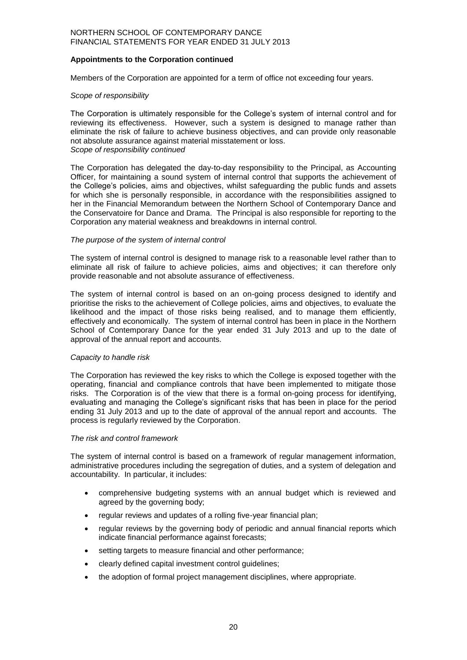#### **Appointments to the Corporation continued**

Members of the Corporation are appointed for a term of office not exceeding four years.

#### *Scope of responsibility*

The Corporation is ultimately responsible for the College's system of internal control and for reviewing its effectiveness. However, such a system is designed to manage rather than eliminate the risk of failure to achieve business objectives, and can provide only reasonable not absolute assurance against material misstatement or loss. *Scope of responsibility continued*

The Corporation has delegated the day-to-day responsibility to the Principal, as Accounting Officer, for maintaining a sound system of internal control that supports the achievement of the College's policies, aims and objectives, whilst safeguarding the public funds and assets for which she is personally responsible, in accordance with the responsibilities assigned to her in the Financial Memorandum between the Northern School of Contemporary Dance and the Conservatoire for Dance and Drama. The Principal is also responsible for reporting to the Corporation any material weakness and breakdowns in internal control.

#### *The purpose of the system of internal control*

The system of internal control is designed to manage risk to a reasonable level rather than to eliminate all risk of failure to achieve policies, aims and objectives; it can therefore only provide reasonable and not absolute assurance of effectiveness.

The system of internal control is based on an on-going process designed to identify and prioritise the risks to the achievement of College policies, aims and objectives, to evaluate the likelihood and the impact of those risks being realised, and to manage them efficiently, effectively and economically. The system of internal control has been in place in the Northern School of Contemporary Dance for the year ended 31 July 2013 and up to the date of approval of the annual report and accounts.

#### *Capacity to handle risk*

The Corporation has reviewed the key risks to which the College is exposed together with the operating, financial and compliance controls that have been implemented to mitigate those risks. The Corporation is of the view that there is a formal on-going process for identifying, evaluating and managing the College's significant risks that has been in place for the period ending 31 July 2013 and up to the date of approval of the annual report and accounts. The process is regularly reviewed by the Corporation.

#### *The risk and control framework*

The system of internal control is based on a framework of regular management information, administrative procedures including the segregation of duties, and a system of delegation and accountability. In particular, it includes:

- comprehensive budgeting systems with an annual budget which is reviewed and agreed by the governing body;
- regular reviews and updates of a rolling five-vear financial plan:
- regular reviews by the governing body of periodic and annual financial reports which indicate financial performance against forecasts;
- setting targets to measure financial and other performance;
- clearly defined capital investment control guidelines;
- the adoption of formal project management disciplines, where appropriate.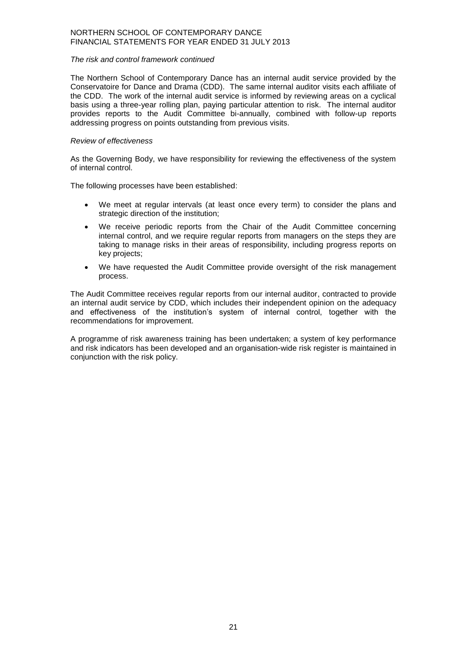#### *The risk and control framework continued*

The Northern School of Contemporary Dance has an internal audit service provided by the Conservatoire for Dance and Drama (CDD). The same internal auditor visits each affiliate of the CDD. The work of the internal audit service is informed by reviewing areas on a cyclical basis using a three-year rolling plan, paying particular attention to risk. The internal auditor provides reports to the Audit Committee bi-annually, combined with follow-up reports addressing progress on points outstanding from previous visits.

#### *Review of effectiveness*

As the Governing Body, we have responsibility for reviewing the effectiveness of the system of internal control.

The following processes have been established:

- We meet at regular intervals (at least once every term) to consider the plans and strategic direction of the institution;
- We receive periodic reports from the Chair of the Audit Committee concerning internal control, and we require regular reports from managers on the steps they are taking to manage risks in their areas of responsibility, including progress reports on key projects;
- We have requested the Audit Committee provide oversight of the risk management process.

The Audit Committee receives regular reports from our internal auditor, contracted to provide an internal audit service by CDD, which includes their independent opinion on the adequacy and effectiveness of the institution's system of internal control, together with the recommendations for improvement.

A programme of risk awareness training has been undertaken; a system of key performance and risk indicators has been developed and an organisation-wide risk register is maintained in conjunction with the risk policy.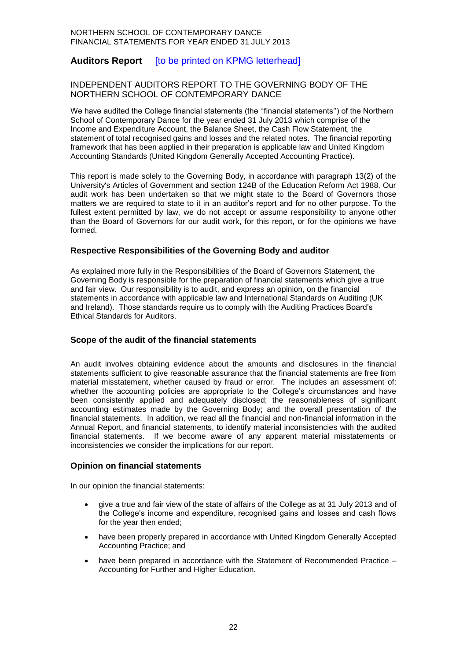## **Auditors Report** [to be printed on KPMG letterhead]

#### INDEPENDENT AUDITORS REPORT TO THE GOVERNING BODY OF THE NORTHERN SCHOOL OF CONTEMPORARY DANCE

We have audited the College financial statements (the ''financial statements'') of the Northern School of Contemporary Dance for the year ended 31 July 2013 which comprise of the Income and Expenditure Account, the Balance Sheet, the Cash Flow Statement, the statement of total recognised gains and losses and the related notes. The financial reporting framework that has been applied in their preparation is applicable law and United Kingdom Accounting Standards (United Kingdom Generally Accepted Accounting Practice).

This report is made solely to the Governing Body, in accordance with paragraph 13(2) of the University's Articles of Government and section 124B of the Education Reform Act 1988. Our audit work has been undertaken so that we might state to the Board of Governors those matters we are required to state to it in an auditor's report and for no other purpose. To the fullest extent permitted by law, we do not accept or assume responsibility to anyone other than the Board of Governors for our audit work, for this report, or for the opinions we have formed.

#### **Respective Responsibilities of the Governing Body and auditor**

As explained more fully in the Responsibilities of the Board of Governors Statement, the Governing Body is responsible for the preparation of financial statements which give a true and fair view. Our responsibility is to audit, and express an opinion, on the financial statements in accordance with applicable law and International Standards on Auditing (UK and Ireland). Those standards require us to comply with the Auditing Practices Board's Ethical Standards for Auditors.

#### **Scope of the audit of the financial statements**

An audit involves obtaining evidence about the amounts and disclosures in the financial statements sufficient to give reasonable assurance that the financial statements are free from material misstatement, whether caused by fraud or error. The includes an assessment of: whether the accounting policies are appropriate to the College's circumstances and have been consistently applied and adequately disclosed; the reasonableness of significant accounting estimates made by the Governing Body; and the overall presentation of the financial statements. In addition, we read all the financial and non-financial information in the Annual Report, and financial statements, to identify material inconsistencies with the audited financial statements. If we become aware of any apparent material misstatements or inconsistencies we consider the implications for our report.

#### **Opinion on financial statements**

In our opinion the financial statements:

- give a true and fair view of the state of affairs of the College as at 31 July 2013 and of the College's income and expenditure, recognised gains and losses and cash flows for the year then ended;
- have been properly prepared in accordance with United Kingdom Generally Accepted Accounting Practice; and
- have been prepared in accordance with the Statement of Recommended Practice Accounting for Further and Higher Education.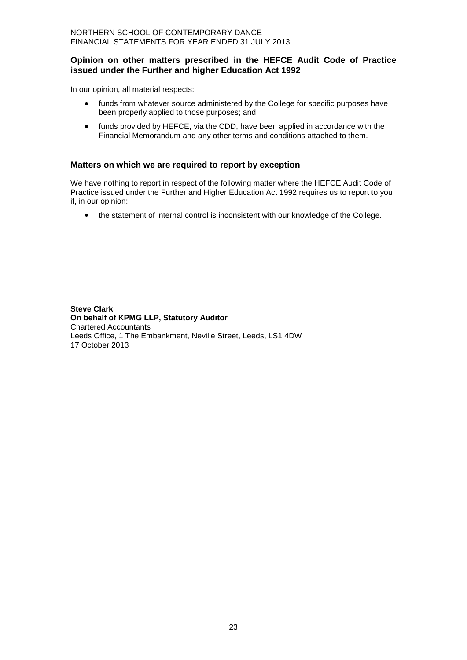#### **Opinion on other matters prescribed in the HEFCE Audit Code of Practice issued under the Further and higher Education Act 1992**

In our opinion, all material respects:

- funds from whatever source administered by the College for specific purposes have been properly applied to those purposes; and
- funds provided by HEFCE, via the CDD, have been applied in accordance with the Financial Memorandum and any other terms and conditions attached to them.

## **Matters on which we are required to report by exception**

We have nothing to report in respect of the following matter where the HEFCE Audit Code of Practice issued under the Further and Higher Education Act 1992 requires us to report to you if, in our opinion:

the statement of internal control is inconsistent with our knowledge of the College.

**Steve Clark On behalf of KPMG LLP, Statutory Auditor** Chartered Accountants Leeds Office, 1 The Embankment, Neville Street, Leeds, LS1 4DW 17 October 2013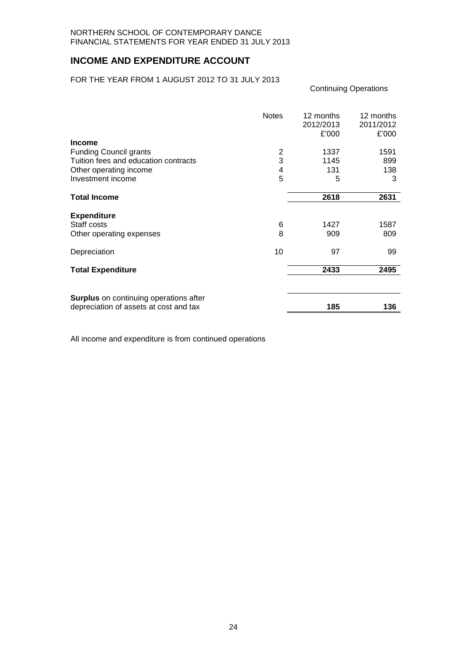## **INCOME AND EXPENDITURE ACCOUNT**

FOR THE YEAR FROM 1 AUGUST 2012 TO 31 JULY 2013

|                                        | <b>Notes</b> | 12 months<br>2012/2013<br>£'000 | 12 months<br>2011/2012<br>£'000 |
|----------------------------------------|--------------|---------------------------------|---------------------------------|
| <b>Income</b>                          |              |                                 |                                 |
| <b>Funding Council grants</b>          | 2            | 1337                            | 1591                            |
| Tuition fees and education contracts   | 3            | 1145                            | 899                             |
| Other operating income                 | 4            | 131                             | 138                             |
| Investment income                      | 5            | 5                               | 3                               |
| <b>Total Income</b>                    |              | 2618                            | 2631                            |
| <b>Expenditure</b>                     |              |                                 |                                 |
| Staff costs                            | 6            | 1427                            | 1587                            |
| Other operating expenses               | 8            | 909                             | 809                             |
| Depreciation                           | 10           | 97                              | 99                              |
| <b>Total Expenditure</b>               |              | 2433                            | 2495                            |
| Surplus on continuing operations after |              |                                 |                                 |
| depreciation of assets at cost and tax |              | 185                             | 136                             |

Continuing Operations

All income and expenditure is from continued operations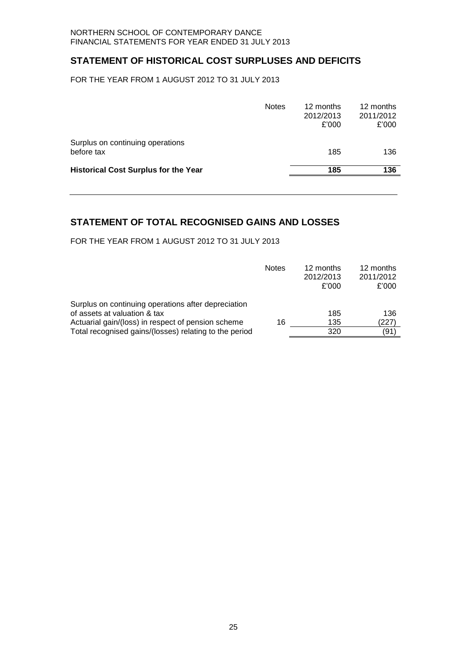## **STATEMENT OF HISTORICAL COST SURPLUSES AND DEFICITS**

FOR THE YEAR FROM 1 AUGUST 2012 TO 31 JULY 2013

| <b>Notes</b> | 12 months<br>2012/2013<br>£'000 | 12 months<br>2011/2012<br>£'000 |
|--------------|---------------------------------|---------------------------------|
|              | 185                             | 136                             |
|              | 185                             | 136                             |
|              |                                 |                                 |

## **STATEMENT OF TOTAL RECOGNISED GAINS AND LOSSES**

FOR THE YEAR FROM 1 AUGUST 2012 TO 31 JULY 2013

|                                                        | <b>Notes</b> | 12 months<br>2012/2013<br>£'000 | 12 months<br>2011/2012<br>£'000 |
|--------------------------------------------------------|--------------|---------------------------------|---------------------------------|
| Surplus on continuing operations after depreciation    |              |                                 |                                 |
| of assets at valuation & tax                           |              | 185                             | 136                             |
| Actuarial gain/(loss) in respect of pension scheme     | 16           | 135                             | (227)                           |
| Total recognised gains/(losses) relating to the period |              | 320                             | (91)                            |
|                                                        |              |                                 |                                 |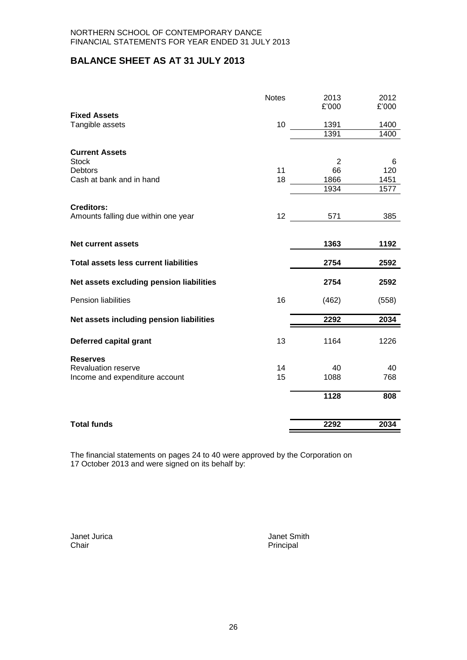## **BALANCE SHEET AS AT 31 JULY 2013**

|                                              | <b>Notes</b> | 2013<br>£'000 | 2012<br>£'000 |
|----------------------------------------------|--------------|---------------|---------------|
| <b>Fixed Assets</b>                          |              |               |               |
| Tangible assets                              | 10           | 1391          | 1400          |
|                                              |              | 1391          | 1400          |
| <b>Current Assets</b>                        |              |               |               |
| <b>Stock</b>                                 |              | 2             | 6             |
| Debtors                                      | 11           | 66            | 120           |
| Cash at bank and in hand                     | 18           | 1866          | 1451          |
|                                              |              | 1934          | 1577          |
|                                              |              |               |               |
| <b>Creditors:</b>                            |              |               |               |
| Amounts falling due within one year          | 12           | 571           | 385           |
|                                              |              |               |               |
| <b>Net current assets</b>                    |              | 1363          | 1192          |
| <b>Total assets less current liabilities</b> |              | 2754          | 2592          |
| Net assets excluding pension liabilities     |              | 2754          | 2592          |
| Pension liabilities                          | 16           | (462)         | (558)         |
| Net assets including pension liabilities     |              | 2292          | 2034          |
| Deferred capital grant                       | 13           | 1164          | 1226          |
| <b>Reserves</b>                              |              |               |               |
| <b>Revaluation reserve</b>                   | 14           | 40            | 40            |
| Income and expenditure account               | 15           | 1088          | 768           |
|                                              |              |               |               |
|                                              |              | 1128          | 808           |
| <b>Total funds</b>                           |              | 2292          | 2034          |
|                                              |              |               |               |

The financial statements on pages 24 to 40 were approved by the Corporation on 17 October 2013 and were signed on its behalf by:

Janet Jurica Janet Smith Principal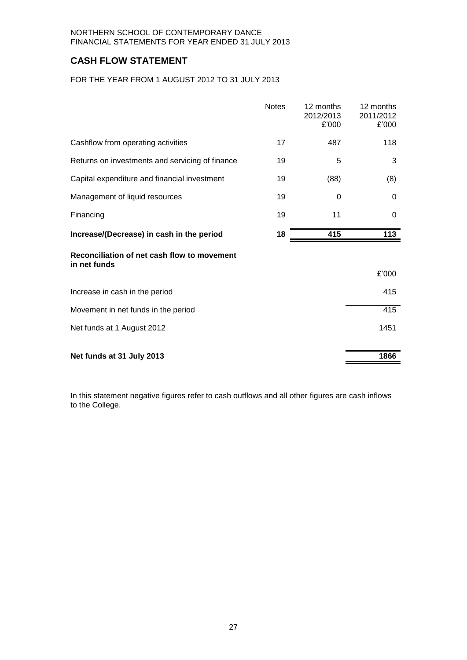## **CASH FLOW STATEMENT**

FOR THE YEAR FROM 1 AUGUST 2012 TO 31 JULY 2013

|                                                             | <b>Notes</b> | 12 months<br>2012/2013<br>£'000 | 12 months<br>2011/2012<br>£'000 |
|-------------------------------------------------------------|--------------|---------------------------------|---------------------------------|
| Cashflow from operating activities                          | 17           | 487                             | 118                             |
| Returns on investments and servicing of finance             | 19           | 5                               | 3                               |
| Capital expenditure and financial investment                | 19           | (88)                            | (8)                             |
| Management of liquid resources                              | 19           | $\Omega$                        | 0                               |
| Financing                                                   | 19           | 11                              | 0                               |
| Increase/(Decrease) in cash in the period                   | 18           | 415                             | 113                             |
| Reconciliation of net cash flow to movement<br>in net funds |              |                                 | £'000                           |
| Increase in cash in the period                              |              |                                 | 415                             |
| Movement in net funds in the period                         |              |                                 | 415                             |
| Net funds at 1 August 2012                                  |              |                                 | 1451                            |
| Net funds at 31 July 2013                                   |              |                                 | 1866                            |

In this statement negative figures refer to cash outflows and all other figures are cash inflows to the College.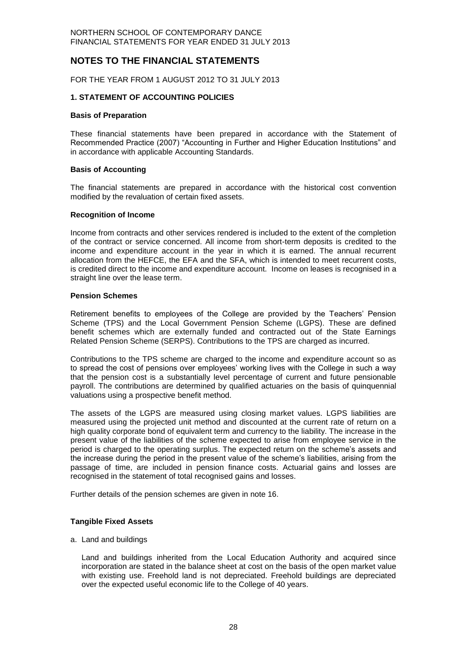## **NOTES TO THE FINANCIAL STATEMENTS**

FOR THE YEAR FROM 1 AUGUST 2012 TO 31 JULY 2013

#### **1. STATEMENT OF ACCOUNTING POLICIES**

#### **Basis of Preparation**

These financial statements have been prepared in accordance with the Statement of Recommended Practice (2007) "Accounting in Further and Higher Education Institutions" and in accordance with applicable Accounting Standards.

#### **Basis of Accounting**

The financial statements are prepared in accordance with the historical cost convention modified by the revaluation of certain fixed assets.

#### **Recognition of Income**

Income from contracts and other services rendered is included to the extent of the completion of the contract or service concerned. All income from short-term deposits is credited to the income and expenditure account in the year in which it is earned. The annual recurrent allocation from the HEFCE, the EFA and the SFA, which is intended to meet recurrent costs, is credited direct to the income and expenditure account. Income on leases is recognised in a straight line over the lease term.

#### **Pension Schemes**

Retirement benefits to employees of the College are provided by the Teachers' Pension Scheme (TPS) and the Local Government Pension Scheme (LGPS). These are defined benefit schemes which are externally funded and contracted out of the State Earnings Related Pension Scheme (SERPS). Contributions to the TPS are charged as incurred.

Contributions to the TPS scheme are charged to the income and expenditure account so as to spread the cost of pensions over employees' working lives with the College in such a way that the pension cost is a substantially level percentage of current and future pensionable payroll. The contributions are determined by qualified actuaries on the basis of quinquennial valuations using a prospective benefit method.

The assets of the LGPS are measured using closing market values. LGPS liabilities are measured using the projected unit method and discounted at the current rate of return on a high quality corporate bond of equivalent term and currency to the liability. The increase in the present value of the liabilities of the scheme expected to arise from employee service in the period is charged to the operating surplus. The expected return on the scheme's assets and the increase during the period in the present value of the scheme's liabilities, arising from the passage of time, are included in pension finance costs. Actuarial gains and losses are recognised in the statement of total recognised gains and losses.

Further details of the pension schemes are given in note 16.

#### **Tangible Fixed Assets**

a. Land and buildings

Land and buildings inherited from the Local Education Authority and acquired since incorporation are stated in the balance sheet at cost on the basis of the open market value with existing use. Freehold land is not depreciated. Freehold buildings are depreciated over the expected useful economic life to the College of 40 years.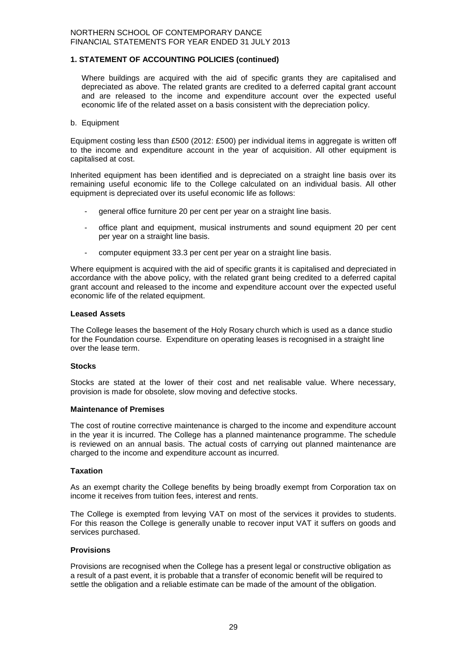#### **1. STATEMENT OF ACCOUNTING POLICIES (continued)**

Where buildings are acquired with the aid of specific grants they are capitalised and depreciated as above. The related grants are credited to a deferred capital grant account and are released to the income and expenditure account over the expected useful economic life of the related asset on a basis consistent with the depreciation policy.

#### b. Equipment

Equipment costing less than £500 (2012: £500) per individual items in aggregate is written off to the income and expenditure account in the year of acquisition. All other equipment is capitalised at cost.

Inherited equipment has been identified and is depreciated on a straight line basis over its remaining useful economic life to the College calculated on an individual basis. All other equipment is depreciated over its useful economic life as follows:

- general office furniture 20 per cent per year on a straight line basis.
- office plant and equipment, musical instruments and sound equipment 20 per cent per year on a straight line basis.
- computer equipment 33.3 per cent per year on a straight line basis.

Where equipment is acquired with the aid of specific grants it is capitalised and depreciated in accordance with the above policy, with the related grant being credited to a deferred capital grant account and released to the income and expenditure account over the expected useful economic life of the related equipment.

#### **Leased Assets**

The College leases the basement of the Holy Rosary church which is used as a dance studio for the Foundation course. Expenditure on operating leases is recognised in a straight line over the lease term.

#### **Stocks**

Stocks are stated at the lower of their cost and net realisable value. Where necessary, provision is made for obsolete, slow moving and defective stocks.

#### **Maintenance of Premises**

The cost of routine corrective maintenance is charged to the income and expenditure account in the year it is incurred. The College has a planned maintenance programme. The schedule is reviewed on an annual basis. The actual costs of carrying out planned maintenance are charged to the income and expenditure account as incurred.

#### **Taxation**

As an exempt charity the College benefits by being broadly exempt from Corporation tax on income it receives from tuition fees, interest and rents.

The College is exempted from levying VAT on most of the services it provides to students. For this reason the College is generally unable to recover input VAT it suffers on goods and services purchased.

#### **Provisions**

Provisions are recognised when the College has a present legal or constructive obligation as a result of a past event, it is probable that a transfer of economic benefit will be required to settle the obligation and a reliable estimate can be made of the amount of the obligation.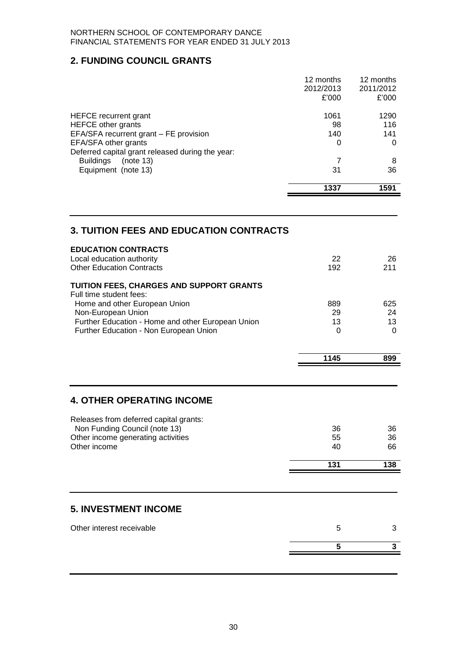## **2. FUNDING COUNCIL GRANTS**

|                                                                                   | 1337                   | 1591                   |
|-----------------------------------------------------------------------------------|------------------------|------------------------|
| Equipment (note 13)                                                               | 31                     | 36                     |
| Deferred capital grant released during the year:<br><b>Buildings</b><br>(note 13) | 7                      | 8                      |
| EFA/SFA other grants                                                              | 0                      | 0                      |
| EFA/SFA recurrent grant – FE provision                                            | 140                    | 141                    |
| <b>HEFCE</b> other grants                                                         | 98                     | 116                    |
| HEFCE recurrent grant                                                             | 1061                   | 1290                   |
|                                                                                   | £'000                  | £'000                  |
|                                                                                   | 12 months<br>2012/2013 | 12 months<br>2011/2012 |

## **3. TUITION FEES AND EDUCATION CONTRACTS**

| Local education authority<br><b>Other Education Contracts</b>                               | 22<br>192      | 26<br>211      |
|---------------------------------------------------------------------------------------------|----------------|----------------|
| TUITION FEES, CHARGES AND SUPPORT GRANTS<br>Full time student fees:                         |                |                |
| Home and other European Union                                                               | 889            | 625            |
| Non-European Union                                                                          | 29             | 24             |
| Further Education - Home and other European Union<br>Further Education - Non European Union | 13<br>$\Omega$ | 13<br>$\Omega$ |
|                                                                                             | 1145           | 899            |
|                                                                                             |                |                |
| <b>4. OTHER OPERATING INCOME</b>                                                            |                |                |
| Releases from deferred capital grants:                                                      |                |                |
| Non Funding Council (note 13)<br>Other income generating activities                         | 36<br>55       | 36<br>36       |
| Other income                                                                                | 40             | 66             |
|                                                                                             | 131            | 138            |
|                                                                                             |                |                |
| <b>5. INVESTMENT INCOME</b>                                                                 |                |                |
| Other interest receivable                                                                   | 5              | 3              |
|                                                                                             | 5              | 3              |
|                                                                                             |                |                |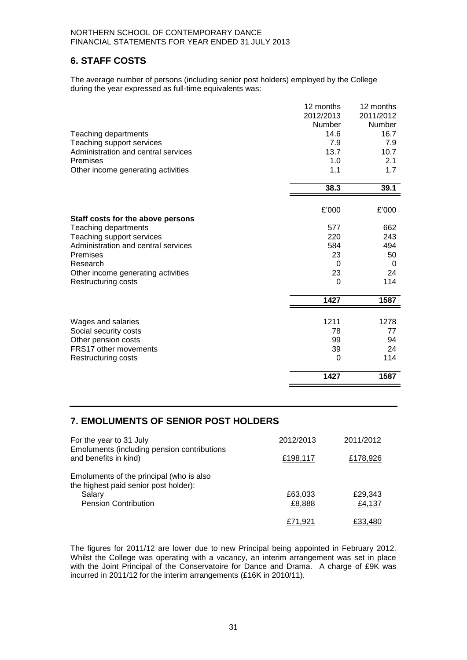## **6. STAFF COSTS**

The average number of persons (including senior post holders) employed by the College during the year expressed as full-time equivalents was:

|                                     | 12 months | 12 months |
|-------------------------------------|-----------|-----------|
|                                     | 2012/2013 | 2011/2012 |
|                                     | Number    | Number    |
| Teaching departments                | 14.6      | 16.7      |
| Teaching support services           | 7.9       | 7.9       |
| Administration and central services | 13.7      | 10.7      |
| Premises                            | 1.0       | 2.1       |
| Other income generating activities  | 1.1       | 1.7       |
|                                     | 38.3      | 39.1      |
|                                     |           |           |
|                                     | £'000     | £'000     |
| Staff costs for the above persons   |           |           |
| Teaching departments                | 577       | 662       |
| Teaching support services           | 220       | 243       |
| Administration and central services | 584       | 494       |
| Premises                            | 23        | 50        |
| Research                            | 0         | $\Omega$  |
| Other income generating activities  | 23        | 24        |
| <b>Restructuring costs</b>          | 0         | 114       |
|                                     | 1427      | 1587      |
|                                     |           |           |
| Wages and salaries                  | 1211      | 1278      |
| Social security costs               | 78        | 77        |
| Other pension costs                 | 99        | 94        |
| <b>FRS17 other movements</b>        | 39        | 24        |
| Restructuring costs                 | 0         | 114       |
|                                     | 1427      | 1587      |

## **7. EMOLUMENTS OF SENIOR POST HOLDERS**

| For the year to 31 July                                                                                                    | 2012/2013         | 2011/2012         |
|----------------------------------------------------------------------------------------------------------------------------|-------------------|-------------------|
| Emoluments (including pension contributions<br>and benefits in kind)                                                       | £198,117          | £178,926          |
| Emoluments of the principal (who is also<br>the highest paid senior post holder):<br>Salary<br><b>Pension Contribution</b> | £63,033<br>£8,888 | £29,343<br>£4,137 |
|                                                                                                                            | £71.921           | £33.480           |

The figures for 2011/12 are lower due to new Principal being appointed in February 2012. Whilst the College was operating with a vacancy, an interim arrangement was set in place with the Joint Principal of the Conservatoire for Dance and Drama. A charge of £9K was incurred in 2011/12 for the interim arrangements (£16K in 2010/11).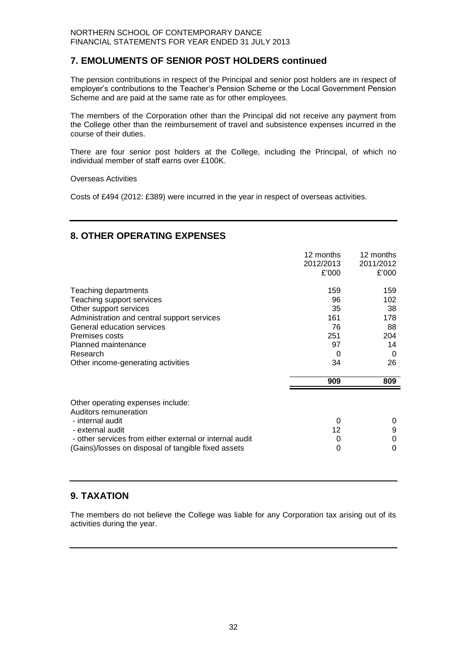## **7. EMOLUMENTS OF SENIOR POST HOLDERS continued**

The pension contributions in respect of the Principal and senior post holders are in respect of employer's contributions to the Teacher's Pension Scheme or the Local Government Pension Scheme and are paid at the same rate as for other employees.

The members of the Corporation other than the Principal did not receive any payment from the College other than the reimbursement of travel and subsistence expenses incurred in the course of their duties.

There are four senior post holders at the College, including the Principal, of which no individual member of staff earns over £100K.

#### Overseas Activities

Costs of £494 (2012: £389) were incurred in the year in respect of overseas activities.

## **8. OTHER OPERATING EXPENSES**

|                                                            | 12 months<br>2012/2013<br>£'000 | 12 months<br>2011/2012<br>£'000 |
|------------------------------------------------------------|---------------------------------|---------------------------------|
| Teaching departments                                       | 159                             | 159                             |
| Teaching support services                                  | 96                              | 102                             |
| Other support services                                     | 35                              | 38                              |
| Administration and central support services                | 161                             | 178                             |
| General education services                                 | 76                              | 88                              |
| Premises costs                                             | 251                             | 204                             |
| Planned maintenance                                        | 97                              | 14                              |
| Research                                                   | 0                               | 0                               |
| Other income-generating activities                         | 34                              | 26                              |
|                                                            | 909                             | 809                             |
| Other operating expenses include:<br>Auditors remuneration |                                 |                                 |
| - internal audit                                           | 0                               | 0                               |
| - external audit                                           | 12                              | 9                               |
| - other services from either external or internal audit    | 0                               | 0                               |
| (Gains)/losses on disposal of tangible fixed assets        | 0                               | 0                               |

## **9. TAXATION**

The members do not believe the College was liable for any Corporation tax arising out of its activities during the year.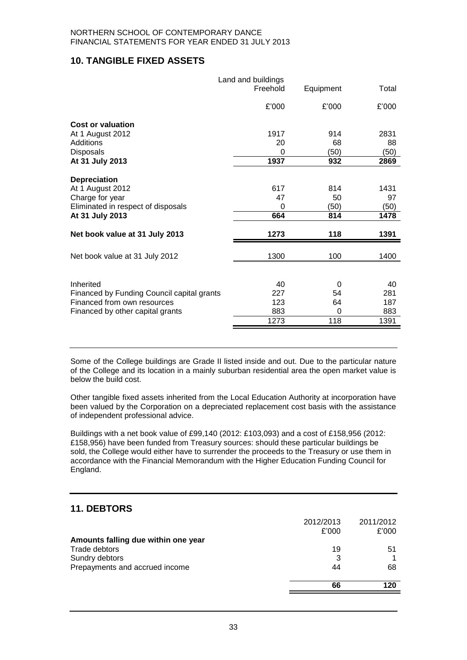## **10. TANGIBLE FIXED ASSETS**

|                                            | Land and buildings<br>Freehold | Equipment | Total |
|--------------------------------------------|--------------------------------|-----------|-------|
|                                            | £'000                          | £'000     | £'000 |
| <b>Cost or valuation</b>                   |                                |           |       |
| At 1 August 2012                           | 1917                           | 914       | 2831  |
| Additions                                  | 20                             | 68        | 88    |
| Disposals                                  | 0                              | (50)      | (50)  |
| At 31 July 2013                            | 1937                           | 932       | 2869  |
| <b>Depreciation</b>                        |                                |           |       |
| At 1 August 2012                           | 617                            | 814       | 1431  |
| Charge for year                            | 47                             | 50        | 97    |
| Eliminated in respect of disposals         | 0                              | (50)      | (50)  |
| At 31 July 2013                            | 664                            | 814       | 1478  |
|                                            |                                |           |       |
| Net book value at 31 July 2013             | 1273                           | 118       | 1391  |
| Net book value at 31 July 2012             | 1300                           | 100       | 1400  |
|                                            |                                |           |       |
|                                            |                                |           |       |
| Inherited                                  | 40                             | 0         | 40    |
| Financed by Funding Council capital grants | 227                            | 54        | 281   |
| Financed from own resources                | 123                            | 64        | 187   |
| Financed by other capital grants           | 883                            | $\Omega$  | 883   |
|                                            | 1273                           | 118       | 1391  |
|                                            |                                |           |       |

Some of the College buildings are Grade II listed inside and out. Due to the particular nature of the College and its location in a mainly suburban residential area the open market value is below the build cost.

Other tangible fixed assets inherited from the Local Education Authority at incorporation have been valued by the Corporation on a depreciated replacement cost basis with the assistance of independent professional advice.

Buildings with a net book value of £99,140 (2012: £103,093) and a cost of £158,956 (2012: £158,956) have been funded from Treasury sources: should these particular buildings be sold, the College would either have to surrender the proceeds to the Treasury or use them in accordance with the Financial Memorandum with the Higher Education Funding Council for England.

## **11. DEBTORS**

|                                     | 2012/2013 | 2011/2012 |
|-------------------------------------|-----------|-----------|
|                                     | £'000     | £'000     |
| Amounts falling due within one year |           |           |
| Trade debtors                       | 19        | 51        |
| Sundry debtors                      | 3         |           |
| Prepayments and accrued income      | 44        | 68        |
|                                     | 66        | 120       |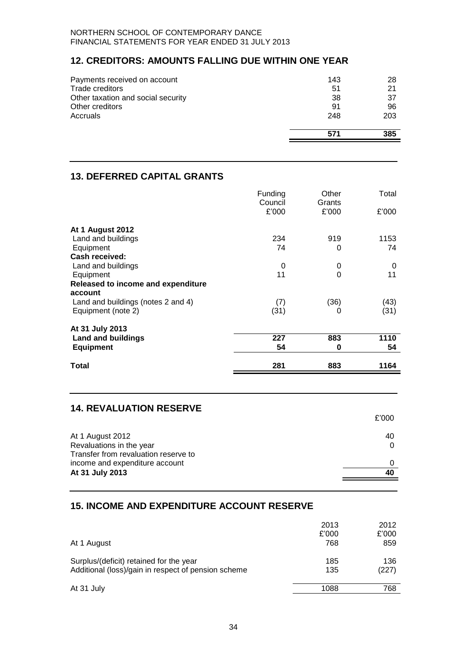## **12. CREDITORS: AMOUNTS FALLING DUE WITHIN ONE YEAR**

| Payments received on account       | 143 | 28  |
|------------------------------------|-----|-----|
| Trade creditors                    | 51  | 21  |
| Other taxation and social security | 38  | 37  |
| Other creditors                    | 91  | 96  |
| Accruals                           | 248 | 203 |
|                                    | 571 | 385 |

## **13. DEFERRED CAPITAL GRANTS**

|                                    | Funding<br>Council | Other<br>Grants | Total |
|------------------------------------|--------------------|-----------------|-------|
|                                    | £'000              | £'000           | £'000 |
| <b>At 1 August 2012</b>            |                    |                 |       |
| Land and buildings                 | 234                | 919             | 1153  |
| Equipment                          | 74                 | 0               | 74    |
| Cash received:                     |                    |                 |       |
| Land and buildings                 | 0                  | 0               | 0     |
| Equipment                          | 11                 | 0               | 11    |
| Released to income and expenditure |                    |                 |       |
| account                            |                    |                 |       |
| Land and buildings (notes 2 and 4) | (7)                | (36)            | (43)  |
| Equipment (note 2)                 | (31)               | 0               | (31)  |
| At 31 July 2013                    |                    |                 |       |
| <b>Land and buildings</b>          | 227                | 883             | 1110  |
| <b>Equipment</b>                   | 54                 | 0               | 54    |
| Total                              | 281                | 883             | 1164  |

## **14. REVALUATION RESERVE**

|                                                                        | £'000 |
|------------------------------------------------------------------------|-------|
| At 1 August 2012<br>Revaluations in the year                           | 40    |
| Transfer from revaluation reserve to<br>income and expenditure account |       |
| At 31 July 2013                                                        | 40    |

## **15. INCOME AND EXPENDITURE ACCOUNT RESERVE**

|                                                                                                | 2013<br>£'000 | 2012<br>£'000 |
|------------------------------------------------------------------------------------------------|---------------|---------------|
| At 1 August                                                                                    | 768           | 859           |
| Surplus/(deficit) retained for the year<br>Additional (loss)/gain in respect of pension scheme | 185<br>135    | 136<br>(227)  |
| At 31 July                                                                                     | 1088          | 768           |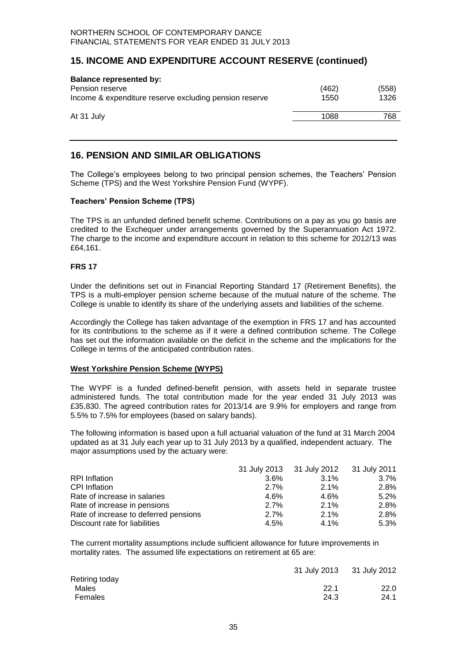## **15. INCOME AND EXPENDITURE ACCOUNT RESERVE (continued)**

| <b>Balance represented by:</b><br>Pension reserve<br>Income & expenditure reserve excluding pension reserve | (462)<br>1550 | (558)<br>1326 |
|-------------------------------------------------------------------------------------------------------------|---------------|---------------|
|                                                                                                             |               |               |
| At 31 July                                                                                                  | 1088          | 768           |

## **16. PENSION AND SIMILAR OBLIGATIONS**

The College's employees belong to two principal pension schemes, the Teachers' Pension Scheme (TPS) and the West Yorkshire Pension Fund (WYPF).

#### **Teachers' Pension Scheme (TPS)**

The TPS is an unfunded defined benefit scheme. Contributions on a pay as you go basis are credited to the Exchequer under arrangements governed by the Superannuation Act 1972. The charge to the income and expenditure account in relation to this scheme for 2012/13 was £64,161.

#### **FRS 17**

Under the definitions set out in Financial Reporting Standard 17 (Retirement Benefits), the TPS is a multi-employer pension scheme because of the mutual nature of the scheme. The College is unable to identify its share of the underlying assets and liabilities of the scheme.

Accordingly the College has taken advantage of the exemption in FRS 17 and has accounted for its contributions to the scheme as if it were a defined contribution scheme. The College has set out the information available on the deficit in the scheme and the implications for the College in terms of the anticipated contribution rates.

#### **West Yorkshire Pension Scheme (WYPS)**

The WYPF is a funded defined-benefit pension, with assets held in separate trustee administered funds. The total contribution made for the year ended 31 July 2013 was £35,830. The agreed contribution rates for 2013/14 are 9.9% for employers and range from 5.5% to 7.5% for employees (based on salary bands).

The following information is based upon a full actuarial valuation of the fund at 31 March 2004 updated as at 31 July each year up to 31 July 2013 by a qualified, independent actuary.The major assumptions used by the actuary were:

|                                       |         | 31 July 2013 31 July 2012 31 July 2011 |         |
|---------------------------------------|---------|----------------------------------------|---------|
| <b>RPI</b> Inflation                  | $3.6\%$ | $3.1\%$                                | $3.7\%$ |
| <b>CPI</b> Inflation                  | 2.7%    | $2.1\%$                                | 2.8%    |
| Rate of increase in salaries          | 4.6%    | 4.6%                                   | 5.2%    |
| Rate of increase in pensions          | 2.7%    | $2.1\%$                                | 2.8%    |
| Rate of increase to deferred pensions | 2.7%    | $2.1\%$                                | 2.8%    |
| Discount rate for liabilities         | 4.5%    | $4.1\%$                                | 5.3%    |

The current mortality assumptions include sufficient allowance for future improvements in mortality rates. The assumed life expectations on retirement at 65 are:

|                | 31 July 2013 31 July 2012 |      |
|----------------|---------------------------|------|
| Retiring today |                           |      |
| Males          | 22.1                      | 22.0 |
| Females        | 24.3                      | 24.1 |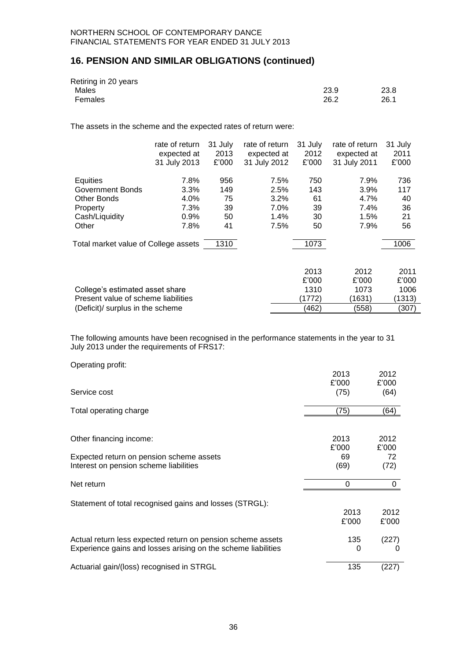## **16. PENSION AND SIMILAR OBLIGATIONS (continued)**

| Retiring in 20 years |      |      |
|----------------------|------|------|
| Males                | 23.9 | 23.8 |
| Females              | 26.2 | 26.1 |

The assets in the scheme and the expected rates of return were:

|                                      | rate of return<br>expected at<br>31 July 2013 | 31 July<br>2013<br>£'000 | rate of return<br>expected at<br>31 July 2012 | 31 July<br>2012<br>£'000 | rate of return<br>expected at<br>31 July 2011 | 31 July<br>2011<br>£'000 |
|--------------------------------------|-----------------------------------------------|--------------------------|-----------------------------------------------|--------------------------|-----------------------------------------------|--------------------------|
| Equities                             | 7.8%                                          | 956                      | 7.5%                                          | 750                      | 7.9%                                          | 736                      |
| Government Bonds                     | $3.3\%$                                       | 149                      | 2.5%                                          | 143                      | 3.9%                                          | 117                      |
| Other Bonds                          | 4.0%                                          | 75                       | 3.2%                                          | 61                       | 4.7%                                          | 40                       |
| Property                             | 7.3%                                          | 39                       | 7.0%                                          | 39                       | 7.4%                                          | 36                       |
| Cash/Liquidity                       | 0.9%                                          | 50                       | 1.4%                                          | 30                       | 1.5%                                          | 21                       |
| Other                                | 7.8%                                          | 41                       | 7.5%                                          | 50                       | 7.9%                                          | 56                       |
| Total market value of College assets |                                               | 1310                     |                                               | 1073                     |                                               | 1006                     |
|                                      |                                               |                          |                                               | 2013                     | 2012                                          | 2011                     |
|                                      |                                               |                          |                                               | £'000                    | £'000                                         | £'000                    |
| College's estimated asset share      |                                               |                          |                                               | 1310                     | 1073                                          | 1006                     |
| Present value of scheme liabilities  |                                               |                          |                                               | (1772)                   | (1631)                                        | (1313)                   |
| (Deficit)/ surplus in the scheme     |                                               |                          |                                               | (462)                    | (558)                                         | (307)                    |

The following amounts have been recognised in the performance statements in the year to 31 July 2013 under the requirements of FRS17:

| Operating profit: |  |
|-------------------|--|

|                                                               | 2013  | 2012     |
|---------------------------------------------------------------|-------|----------|
|                                                               | £'000 | £'000    |
| Service cost                                                  | (75)  | (64)     |
| Total operating charge                                        | (75)  | (64)     |
|                                                               |       |          |
| Other financing income:                                       | 2013  | 2012     |
|                                                               | £'000 | £'000    |
| Expected return on pension scheme assets                      | 69    | 72       |
| Interest on pension scheme liabilities                        | (69)  | (72)     |
| Net return                                                    | 0     | 0        |
| Statement of total recognised gains and losses (STRGL):       |       |          |
|                                                               | 2013  | 2012     |
|                                                               | £'000 | £'000    |
| Actual return less expected return on pension scheme assets   | 135   | (227)    |
| Experience gains and losses arising on the scheme liabilities | 0     | $\Omega$ |
| Actuarial gain/(loss) recognised in STRGL                     | 135   | (227)    |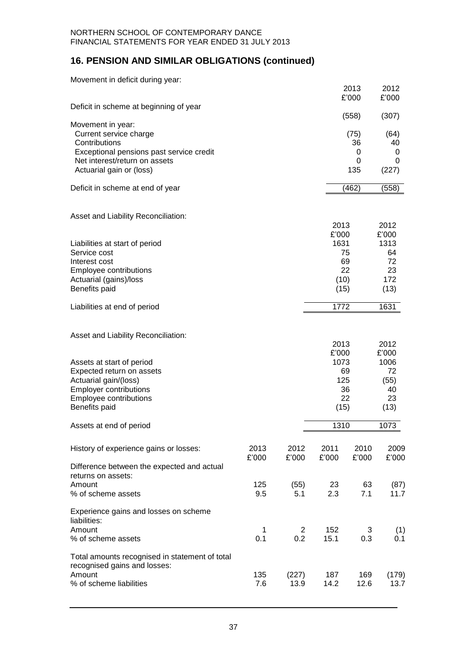## **16. PENSION AND SIMILAR OBLIGATIONS (continued)**

| Movement in deficit during year:               |               |               |               |               |               |
|------------------------------------------------|---------------|---------------|---------------|---------------|---------------|
|                                                |               |               |               | 2013<br>£'000 | 2012<br>£'000 |
| Deficit in scheme at beginning of year         |               |               |               | (558)         | (307)         |
| Movement in year:                              |               |               |               |               |               |
| Current service charge<br>Contributions        |               |               |               | (75)<br>36    | (64)<br>40    |
| Exceptional pensions past service credit       |               |               |               | 0             | 0             |
| Net interest/return on assets                  |               |               |               | 0             | 0             |
| Actuarial gain or (loss)                       |               |               |               | 135           | (227)         |
| Deficit in scheme at end of year               |               |               |               | (462)         | (558)         |
| Asset and Liability Reconciliation:            |               |               |               |               |               |
|                                                |               |               | 2013<br>£'000 |               | 2012<br>£'000 |
| Liabilities at start of period                 |               |               | 1631          |               | 1313          |
| Service cost                                   |               |               |               | 75            | 64            |
| Interest cost                                  |               |               |               | 69            | 72            |
| Employee contributions                         |               |               |               | 22            | 23            |
| Actuarial (gains)/loss<br>Benefits paid        |               |               | (10)<br>(15)  |               | 172<br>(13)   |
|                                                |               |               |               |               |               |
| Liabilities at end of period                   |               |               | 1772          |               | 1631          |
| Asset and Liability Reconciliation:            |               |               |               |               |               |
|                                                |               |               | 2013          |               | 2012          |
| Assets at start of period                      |               |               | £'000<br>1073 |               | £'000<br>1006 |
| Expected return on assets                      |               |               |               | 69            | 72            |
| Actuarial gain/(loss)                          |               |               | 125           |               | (55)          |
| <b>Employer contributions</b>                  |               |               |               | 36            | 40            |
| Employee contributions                         |               |               |               | 22            | 23            |
| Benefits paid                                  |               |               | (15)          |               | (13)          |
| Assets at end of period                        |               |               | 1310          |               | 1073          |
| History of experience gains or losses:         | 2013<br>£'000 | 2012<br>£'000 | 2011<br>£'000 | 2010<br>£'000 | 2009<br>£'000 |
| Difference between the expected and actual     |               |               |               |               |               |
| returns on assets:                             |               |               |               |               |               |
| Amount                                         | 125           | (55)          | 23            | 63            | (87)          |
| % of scheme assets                             | 9.5           | 5.1           | 2.3           | 7.1           | 11.7          |
| Experience gains and losses on scheme          |               |               |               |               |               |
| liabilities:<br>Amount                         | 1             | 2             | 152           | 3             | (1)           |
| % of scheme assets                             | 0.1           | 0.2           | 15.1          | 0.3           | 0.1           |
| Total amounts recognised in statement of total |               |               |               |               |               |
| recognised gains and losses:                   |               |               |               |               |               |
| Amount                                         | 135           | (227)         | 187           | 169           | (179)         |
| % of scheme liabilities                        | 7.6           | 13.9          | 14.2          | 12.6          | 13.7          |
|                                                |               |               |               |               |               |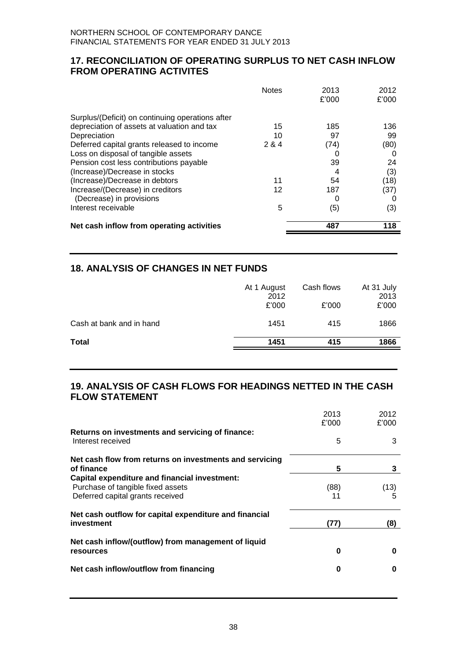## **17. RECONCILIATION OF OPERATING SURPLUS TO NET CASH INFLOW FROM OPERATING ACTIVITES**

| <b>Notes</b>                                        | 2013<br>£'000 | 2012<br>£'000 |
|-----------------------------------------------------|---------------|---------------|
| Surplus/(Deficit) on continuing operations after    |               |               |
| depreciation of assets at valuation and tax<br>15   | 185           | 136           |
| Depreciation<br>10                                  | 97            | 99            |
| Deferred capital grants released to income<br>2 & 4 | (74)          | (80)          |
| Loss on disposal of tangible assets                 |               |               |
| Pension cost less contributions payable             | 39            | 24            |
| (Increase)/Decrease in stocks                       |               | (3)           |
| (Increase)/Decrease in debtors<br>11                | 54            | (18)          |
| Increase/(Decrease) in creditors<br>12              | 187           | (37)          |
| (Decrease) in provisions                            | O             |               |
| Interest receivable<br>5                            | (5)           | (3)           |
| Net cash inflow from operating activities           | 487           | 118           |

## **18. ANALYSIS OF CHANGES IN NET FUNDS**

|                          | At 1 August<br>2012<br>£'000 | Cash flows<br>£'000 | At 31 July<br>2013<br>£'000 |
|--------------------------|------------------------------|---------------------|-----------------------------|
| Cash at bank and in hand | 1451                         | 415                 | 1866                        |
| Total                    | 1451                         | 415                 | 1866                        |

## **19. ANALYSIS OF CASH FLOWS FOR HEADINGS NETTED IN THE CASH FLOW STATEMENT**

|                                                                                                                               | 2013<br>£'000 | 2012<br>£'000 |
|-------------------------------------------------------------------------------------------------------------------------------|---------------|---------------|
| Returns on investments and servicing of finance:<br>Interest received                                                         | 5             | 3             |
| Net cash flow from returns on investments and servicing<br>of finance                                                         | 5             | 3             |
| <b>Capital expenditure and financial investment:</b><br>Purchase of tangible fixed assets<br>Deferred capital grants received | (88)<br>11    | (13)          |
| Net cash outflow for capital expenditure and financial<br>investment                                                          | (77)          | (8)           |
| Net cash inflow/(outflow) from management of liquid<br>resources                                                              | 0             | O             |
| Net cash inflow/outflow from financing                                                                                        | 0             | O             |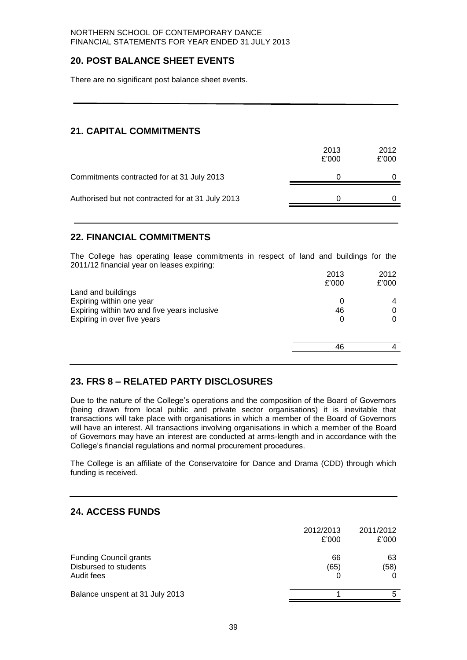## **20. POST BALANCE SHEET EVENTS**

There are no significant post balance sheet events.

## **21. CAPITAL COMMITMENTS**

|                                                   | 2013<br>£'000 | 2012<br>£'000 |
|---------------------------------------------------|---------------|---------------|
| Commitments contracted for at 31 July 2013        |               |               |
| Authorised but not contracted for at 31 July 2013 |               |               |

## **22. FINANCIAL COMMITMENTS**

The College has operating lease commitments in respect of land and buildings for the 2011/12 financial year on leases expiring:

|                                              | 2013  | 2012  |
|----------------------------------------------|-------|-------|
|                                              | £'000 | £'000 |
| Land and buildings                           |       |       |
| Expiring within one year                     | 0     |       |
| Expiring within two and five years inclusive | 46    | 0     |
| Expiring in over five years                  |       |       |
|                                              |       |       |
|                                              | 46    |       |
|                                              |       |       |

## **23. FRS 8 – RELATED PARTY DISCLOSURES**

Due to the nature of the College's operations and the composition of the Board of Governors (being drawn from local public and private sector organisations) it is inevitable that transactions will take place with organisations in which a member of the Board of Governors will have an interest. All transactions involving organisations in which a member of the Board of Governors may have an interest are conducted at arms-length and in accordance with the College's financial regulations and normal procurement procedures.

The College is an affiliate of the Conservatoire for Dance and Drama (CDD) through which funding is received.

## **24. ACCESS FUNDS**

|                                                                      | 2012/2013<br>£'000 | 2011/2012<br>£'000 |
|----------------------------------------------------------------------|--------------------|--------------------|
| <b>Funding Council grants</b><br>Disbursed to students<br>Audit fees | 66<br>(65)         | 63<br>(58)         |
| Balance unspent at 31 July 2013                                      |                    |                    |